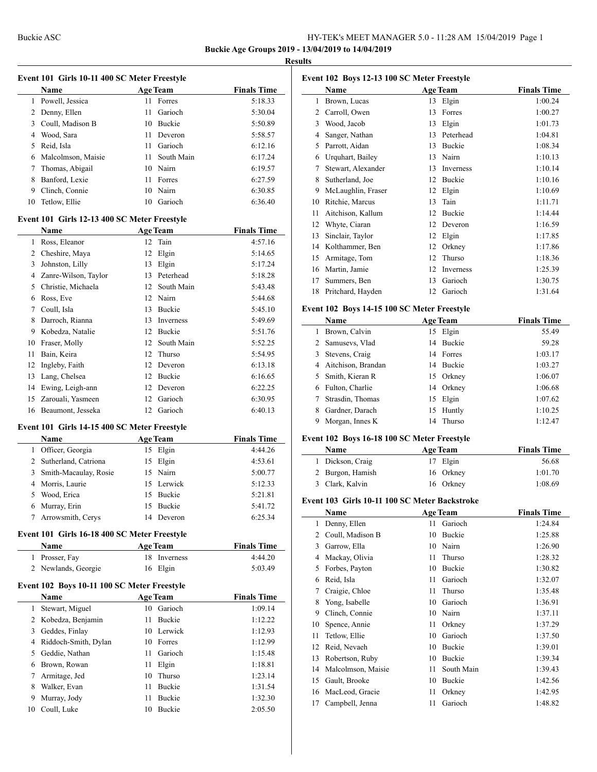**Buckie Age Groups 2019 - 13/04/2019 to 14/04/2019**

#### **Results**

|                |                                              |    |                 | <b>Buckie Age Groups 2019 - 1</b> | Resul |
|----------------|----------------------------------------------|----|-----------------|-----------------------------------|-------|
|                |                                              |    |                 |                                   |       |
|                | Event 101 Girls 10-11 400 SC Meter Freestyle |    |                 |                                   | F     |
|                | Name                                         |    | <b>Age Team</b> | <b>Finals Time</b>                |       |
|                | 1 Powell, Jessica                            |    | 11 Forres       | 5:18.33                           |       |
|                | 2 Denny, Ellen                               | 11 | Garioch         | 5:30.04                           |       |
|                | 3 Coull, Madison B                           |    | 10 Buckie       | 5:50.89                           |       |
|                | 4 Wood, Sara                                 | 11 | Deveron         | 5:58.57                           |       |
|                | 5 Reid, Isla                                 | 11 | Garioch         | 6:12.16                           |       |
|                | 6 Malcolmson, Maisie                         | 11 | South Main      | 6:17.24                           |       |
|                | 7 Thomas, Abigail                            |    | 10 Nairn        | 6:19.57                           |       |
| 8              | Banford, Lexie                               | 11 | Forres          | 6:27.59                           |       |
|                | 9 Clinch, Connie                             |    | 10 Nairn        | 6:30.85                           |       |
| 10             | Tetlow, Ellie                                |    | 10 Garioch      | 6:36.40                           |       |
|                | Event 101 Girls 12-13 400 SC Meter Freestyle |    |                 |                                   |       |
|                | Name                                         |    | <b>Age Team</b> | <b>Finals Time</b>                |       |
|                | 1 Ross, Eleanor                              |    | 12 Tain         | 4:57.16                           |       |
|                | 2 Cheshire, Maya                             |    | 12 Elgin        | 5:14.65                           |       |
| 3              | Johnston, Lilly                              |    | 13 Elgin        | 5:17.24                           |       |
|                | 4 Zanre-Wilson, Taylor                       |    | 13 Peterhead    | 5:18.28                           |       |
|                |                                              |    | 12 South Main   |                                   |       |
|                | 5 Christie, Michaela                         |    |                 | 5:43.48                           |       |
|                | 6 Ross, Eve                                  |    | 12 Nairn        | 5:44.68                           |       |
|                | 7 Coull, Isla                                |    | 13 Buckie       | 5:45.10                           | F     |
|                | 8 Darroch, Rianna                            |    | 13 Inverness    | 5:49.69                           |       |
|                | 9 Kobedza, Natalie                           |    | 12 Buckie       | 5:51.76                           |       |
|                | 10 Fraser, Molly                             |    | 12 South Main   | 5:52.25                           |       |
| 11             | Bain, Keira                                  |    | 12 Thurso       | 5:54.95                           |       |
|                | 12 Ingleby, Faith                            |    | 12 Deveron      | 6:13.18                           |       |
|                | 13 Lang, Chelsea                             |    | 12 Buckie       | 6:16.65                           |       |
|                | 14 Ewing, Leigh-ann                          |    | 12 Deveron      | 6:22.25                           |       |
|                | 15 Zarouali, Yasmeen                         |    | 12 Garioch      | 6:30.95                           |       |
|                | 16 Beaumont, Jesseka                         |    | 12 Garioch      | 6:40.13                           |       |
|                | Event 101 Girls 14-15 400 SC Meter Freestyle |    |                 |                                   |       |
|                | Name                                         |    | <b>Age Team</b> | <b>Finals Time</b>                | F     |
|                | 1 Officer, Georgia                           |    | 15 Elgin        | 4:44.26                           |       |
|                | 2 Sutherland, Catriona                       |    | 15 Elgin        | 4:53.61                           |       |
|                | 3 Smith-Macaulay, Rosie                      |    | 15 Nairn        | 5:00.77                           |       |
|                | 4 Morris, Laurie                             |    | 15 Lerwick      | 5:12.33                           |       |
|                | 5 Wood, Erica                                |    | 15 Buckie       | 5:21.81                           |       |
|                | 6 Murray, Erin                               | 15 | Buckie          | 5:41.72                           | F     |
| 7              | Arrowsmith, Cerys                            |    | 14 Deveron      | 6:25.34                           |       |
|                |                                              |    |                 |                                   |       |
|                | Event 101 Girls 16-18 400 SC Meter Freestyle |    |                 |                                   |       |
|                | Name                                         |    | <b>Age Team</b> | <b>Finals Time</b>                |       |
|                | 1 Prosser, Fay                               |    | 18 Inverness    | 4:44.20                           |       |
|                | 2 Newlands, Georgie                          |    | 16 Elgin        | 5:03.49                           |       |
|                | Event 102 Boys 10-11 100 SC Meter Freestyle  |    |                 |                                   |       |
|                | Name                                         |    | <b>Age Team</b> | <b>Finals Time</b>                |       |
| 1              | Stewart, Miguel                              |    | 10 Garioch      | 1:09.14                           |       |
| $\overline{2}$ | Kobedza, Benjamin                            | 11 | Buckie          | 1:12.22                           |       |
|                | 3 Geddes, Finlay                             | 10 | Lerwick         | 1:12.93                           |       |
|                | 4 Riddoch-Smith, Dylan                       | 10 | Forres          | 1:12.99                           |       |
|                | 5 Geddie, Nathan                             | 11 | Garioch         | 1:15.48                           |       |
|                | 6 Brown, Rowan                               | 11 | Elgin           | 1:18.81                           |       |
| 7              | Armitage, Jed                                | 10 | Thurso          | 1:23.14                           |       |
|                | 8 Walker, Evan                               |    | 11 Buckie       | 1:31.54                           |       |

 Murray, Jody 11 Buckie 1:32.30 Coull, Luke 10 Buckie 2:05.50

| Event 102 Boys 12-13 100 SC Meter Freestyle |                    |    |                  |                    |  |  |
|---------------------------------------------|--------------------|----|------------------|--------------------|--|--|
|                                             | Name               |    | <b>Age Team</b>  | <b>Finals Time</b> |  |  |
| 1                                           | Brown, Lucas       | 13 | Elgin            | 1:00.24            |  |  |
| 2                                           | Carroll, Owen      | 13 | Forres           | 1:00.27            |  |  |
| 3                                           | Wood, Jacob        | 13 | Elgin            | 1:01.73            |  |  |
| 4                                           | Sanger, Nathan     | 13 | Peterhead        | 1:04.81            |  |  |
| 5                                           | Parrott, Aidan     | 13 | Buckie           | 1:08.34            |  |  |
| 6                                           | Urquhart, Bailey   | 13 | Nairn            | 1:10.13            |  |  |
| 7                                           | Stewart, Alexander | 13 | <b>Inverness</b> | 1:10.14            |  |  |
| 8                                           | Sutherland, Joe    | 12 | <b>Buckie</b>    | 1:10.16            |  |  |
| 9                                           | McLaughlin, Fraser | 12 | Elgin            | 1:10.69            |  |  |
| 10                                          | Ritchie, Marcus    | 13 | Tain             | 1:11.71            |  |  |
| 11                                          | Aitchison, Kallum  | 12 | <b>Buckie</b>    | 1:14.44            |  |  |
| 12                                          | Whyte, Ciaran      | 12 | Deveron          | 1:16.59            |  |  |
| 13                                          | Sinclair, Taylor   | 12 | Elgin            | 1:17.85            |  |  |
| 14                                          | Kolthammer, Ben    | 12 | Orkney           | 1:17.86            |  |  |
| 15                                          | Armitage, Tom      | 12 | Thurso           | 1:18.36            |  |  |
| 16                                          | Martin, Jamie      | 12 | <b>Inverness</b> | 1:25.39            |  |  |
| 17                                          | Summers, Ben       | 13 | Garioch          | 1:30.75            |  |  |
| 18                                          | Pritchard, Hayden  | 12 | Garioch          | 1:31.64            |  |  |
|                                             |                    |    |                  |                    |  |  |

#### **Event 102 Boys 14-15 100 SC Meter Freestyle**

|    | Name                 | <b>Age Team</b> | <b>Finals Time</b> |
|----|----------------------|-----------------|--------------------|
|    | Brown, Calvin        | 15 Elgin        | 55.49              |
|    | 2 Samusevs, Vlad     | 14 Buckie       | 59.28              |
|    | 3 Stevens, Craig     | 14 Forres       | 1:03.17            |
|    | 4 Aitchison, Brandan | 14 Buckie       | 1:03.27            |
| 5. | Smith, Kieran R      | 15 Orkney       | 1:06.07            |
| 6  | Fulton, Charlie      | 14 Orkney       | 1:06.68            |
|    | Strasdin, Thomas     | 15 Elgin        | 1:07.62            |
| 8  | Gardner, Darach      | 15 Huntly       | 1:10.25            |
| 9  | Morgan, Innes K      | 14 Thurso       | 1:12.47            |
|    |                      |                 |                    |

## **Event 102 Boys 16-18 100 SC Meter Freestyle**

| <b>Name</b>      | <b>Age Team</b> | <b>Finals Time</b> |
|------------------|-----------------|--------------------|
| 1 Dickson, Craig | 17 Elgin        | 56.68              |
| 2 Burgon, Hamish | 16 Orkney       | 1:01.70            |
| 3 Clark, Kalvin  | 16 Orkney       | 1:08.69            |

#### **Event 103 Girls 10-11 100 SC Meter Backstroke**

|    | Name               |    | <b>Age Team</b> | <b>Finals Time</b> |
|----|--------------------|----|-----------------|--------------------|
| 1  | Denny, Ellen       | 11 | Garioch         | 1:24.84            |
| 2  | Coull, Madison B   | 10 | Buckie          | 1:25.88            |
| 3  | Garrow, Ella       | 10 | Nairn           | 1:26.90            |
| 4  | Mackay, Olivia     | 11 | Thurso          | 1:28.32            |
| 5  | Forbes, Payton     | 10 | Buckie          | 1:30.82            |
| 6  | Reid, Isla         | 11 | Garioch         | 1:32.07            |
| 7  | Craigie, Chloe     | 11 | Thurso          | 1:35.48            |
| 8  | Yong, Isabelle     | 10 | Garioch         | 1:36.91            |
| 9  | Clinch, Connie     | 10 | Nairn           | 1:37.11            |
| 10 | Spence, Annie      | 11 | Orkney          | 1:37.29            |
| 11 | Tetlow, Ellie      | 10 | Garioch         | 1:37.50            |
| 12 | Reid, Nevaeh       | 10 | Buckie          | 1:39.01            |
| 13 | Robertson, Ruby    | 10 | Buckie          | 1:39.34            |
| 14 | Malcolmson, Maisie | 11 | South Main      | 1:39.43            |
| 15 | Gault, Brooke      | 10 | Buckie          | 1:42.56            |
| 16 | MacLeod, Gracie    | 11 | Orkney          | 1:42.95            |
| 17 | Campbell, Jenna    | 11 | Garioch         | 1:48.82            |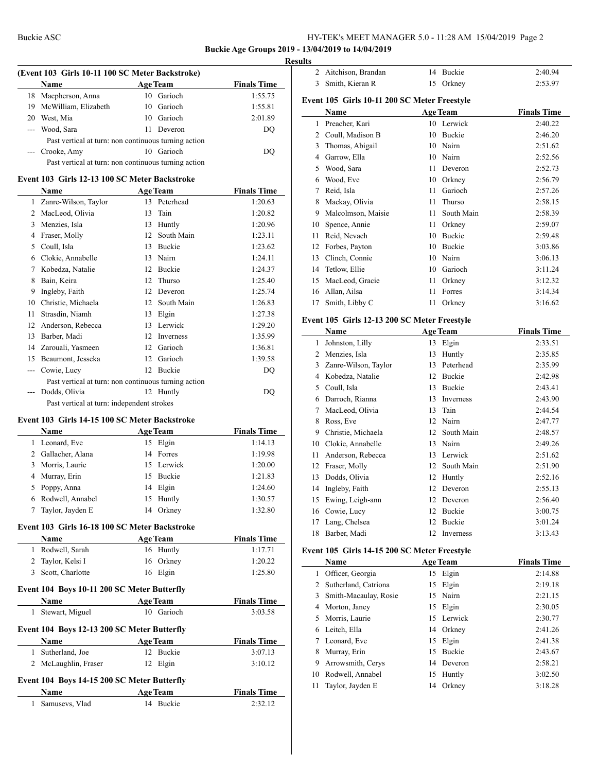$\overline{a}$ 

## Buckie ASC HY-TEK's MEET MANAGER 5.0 - 11:28 AM 15/04/2019 Page 2

#### **Buckie Age Groups 2019 - 13/04/2019 to 14/04/2019**

#### **Results**

|    | <b>Name</b>                                          |     | <b>Age Team</b> | <b>Finals Time</b> |
|----|------------------------------------------------------|-----|-----------------|--------------------|
|    | 18 Macpherson, Anna                                  |     | 10 Garioch      | 1:55.75            |
|    | 19 McWilliam, Elizabeth                              |     | 10 Garioch      | 1:55.81            |
| 20 | West, Mia                                            |     | 10 Garioch      | 2:01.89            |
|    | --- Wood, Sara                                       | 11. | Deveron         | DO                 |
|    | Past vertical at turn: non continuous turning action |     |                 |                    |
|    | --- Crooke, Amy                                      |     | 10 Garioch      | DO                 |
|    | Past vertical at turn: non continuous turning action |     |                 |                    |

# **Event 103 Girls 12-13 100 SC Meter Backstroke**

|    | Name                                                 |    | <b>Age Team</b> | <b>Finals Time</b> |
|----|------------------------------------------------------|----|-----------------|--------------------|
| 1  | Zanre-Wilson, Taylor                                 | 13 | Peterhead       | 1:20.63            |
| 2  | MacLeod, Olivia                                      | 13 | Tain            | 1:20.82            |
| 3  | Menzies, Isla                                        | 13 | Huntly          | 1:20.96            |
| 4  | Fraser, Molly                                        | 12 | South Main      | 1:23.11            |
| 5. | Coull, Isla                                          | 13 | Buckie          | 1:23.62            |
| 6  | Clokie, Annabelle                                    | 13 | Nairn           | 1:24.11            |
| 7  | Kobedza, Natalie                                     | 12 | Buckie          | 1:24.37            |
| 8  | Bain, Keira                                          | 12 | Thurso          | 1:25.40            |
| 9  | Ingleby, Faith                                       | 12 | Deveron         | 1:25.74            |
| 10 | Christie, Michaela                                   | 12 | South Main      | 1:26.83            |
| 11 | Strasdin, Niamh                                      | 13 | Elgin           | 1:27.38            |
| 12 | Anderson, Rebecca                                    | 13 | Lerwick         | 1:29.20            |
| 13 | Barber, Madi                                         | 12 | Inverness       | 1:35.99            |
| 14 | Zarouali, Yasmeen                                    | 12 | Garioch         | 1:36.81            |
| 15 | Beaumont, Jesseka                                    | 12 | Garioch         | 1:39.58            |
|    | Cowie, Lucy                                          | 12 | Buckie          | DQ                 |
|    | Past vertical at turn: non continuous turning action |    |                 |                    |
|    | Dodds, Olivia                                        | 12 | Huntly          | DQ                 |
|    | Past vertical at turn: independent strokes           |    |                 |                    |

#### **Event 103 Girls 14-15 100 SC Meter Backstroke**

| <b>Name</b>        |    | <b>Age Team</b> | <b>Finals Time</b> |
|--------------------|----|-----------------|--------------------|
| 1 Leonard, Eve     |    | 15 Elgin        | 1:14.13            |
| 2 Gallacher, Alana |    | 14 Forres       | 1:19.98            |
| 3 Morris, Laurie   |    | 15 Lerwick      | 1:20.00            |
| 4 Murray, Erin     |    | 15 Buckie       | 1:21.83            |
| 5 Poppy, Anna      |    | 14 Elgin        | 1:24.60            |
| 6 Rodwell, Annabel |    | 15 Huntly       | 1:30.57            |
| Taylor, Jayden E   | 14 | Orkney          | 1:32.80            |

#### **Event 103 Girls 16-18 100 SC Meter Backstroke**

| <b>Name</b>        | <b>Age Team</b> | <b>Finals Time</b> |
|--------------------|-----------------|--------------------|
| 1 Rodwell, Sarah   | 16 Huntly       | 1:17.71            |
| 2 Taylor, Kelsi I  | 16 Orkney       | 1:20.22            |
| 3 Scott, Charlotte | 16 Elgin        | 1:25.80            |

# **Event 104 Boys 10-11 200 SC Meter Butterfly Name Age Team Finals Time** Stewart, Miguel 10 Garioch 3:03.58

| Event 104 Boys 12-13 200 SC Meter Butterfly |           |                    |  |  |  |  |
|---------------------------------------------|-----------|--------------------|--|--|--|--|
| <b>Name</b>                                 | Age Team  | <b>Finals Time</b> |  |  |  |  |
| 1 Sutherland, Joe                           | 12 Buckie | 3:07.13            |  |  |  |  |
| 2 McLaughlin, Fraser                        | 12 Elgin  | 3:10.12            |  |  |  |  |

# **Event 104 Boys 14-15 200 SC Meter Butterfly**

| Name           | <b>Age Team</b> | <b>Finals Time</b> |  |
|----------------|-----------------|--------------------|--|
| Samusevs, Vlad | 14 Buckie       | 2:32.12            |  |

| 2               | Aitchison, Brandan                           | 14 | Buckie          | 2:40.94            |
|-----------------|----------------------------------------------|----|-----------------|--------------------|
| 3               | Smith, Kieran R                              | 15 | Orkney          | 2:53.97            |
|                 | Event 105 Girls 10-11 200 SC Meter Freestyle |    |                 |                    |
|                 | Name                                         |    | <b>Age Team</b> | <b>Finals Time</b> |
| 1               | Preacher, Kari                               |    | 10 Lerwick      | 2:40.22            |
|                 | 2 Coull, Madison B                           |    | 10 Buckie       | 2:46.20            |
|                 | 3 Thomas, Abigail                            |    | 10 Nairn        | 2:51.62            |
|                 | 4 Garrow, Ella                               |    | 10 Nairn        | 2:52.56            |
|                 | 5 Wood, Sara                                 |    | 11 Deveron      | 2:52.73            |
|                 | 6 Wood, Eve                                  |    | 10 Orkney       | 2:56.79            |
| $7\phantom{.0}$ | Reid, Isla                                   | 11 | Garioch         | 2:57.26            |
|                 | 8 Mackay, Olivia                             | 11 | Thurso          | 2:58.15            |
| 9.              | Malcolmson, Maisie                           | 11 | South Main      | 2:58.39            |
| 10              | Spence, Annie                                | 11 | Orkney          | 2:59.07            |
| 11              | Reid, Nevaeh                                 |    | 10 Buckie       | 2:59.48            |
|                 | 12 Forbes, Payton                            |    | 10 Buckie       | 3:03.86            |
|                 | 13 Clinch, Connie                            |    | 10 Nairn        | 3:06.13            |
|                 | 14 Tetlow, Ellie                             |    | 10 Garioch      | 3:11.24            |
|                 | 15 MacLeod, Gracie                           |    | 11 Orkney       | 3:12.32            |
|                 | 16 Allan, Ailsa                              | 11 | Forres          | 3:14.34            |
| 17              | Smith, Libby C                               | 11 | Orkney          | 3:16.62            |
|                 |                                              |    |                 |                    |
|                 | Event 105 Girls 12-13 200 SC Meter Freestyle |    |                 |                    |
|                 | Name                                         |    | <b>Age Team</b> | <b>Finals Time</b> |
| $\mathbf{1}$    | Johnston, Lilly                              | 13 | Elgin           | 2:33.51            |
|                 | 2 Menzies, Isla                              | 13 | Huntly          | 2:35.85            |
|                 | 3 Zanre-Wilson, Taylor                       |    | 13 Peterhead    | 2:35.99            |
|                 | 4 Kobedza, Natalie                           |    | 12 Buckie       | 2:42.98            |
|                 | 5 Coull, Isla                                |    | 13 Buckie       | 2:43.41            |
|                 | 6 Darroch, Rianna                            |    | 13 Inverness    | 2:43.90            |
|                 | 7 MacLeod, Olivia                            |    | 13 Tain         | 2:44.54            |
|                 | 8 Ross, Eve                                  |    | 12 Naim         | 2:47.77            |
|                 | 9 Christie, Michaela                         |    | 12 South Main   | 2:48.57            |
|                 | 10 Clokie, Annabelle                         |    | 13 Nairn        | 2:49.26            |
|                 | 11 Anderson, Rebecca                         |    | 13 Lerwick      | 2:51.62            |
|                 | 12 Fraser, Molly                             |    | 12 South Main   | 2:51.90            |
| 13              | Dodds, Olivia                                |    | 12 Huntly       | 2:52.16            |
| 14              | Ingleby, Faith                               |    | 12 Deveron      | 2:55.13            |
|                 | 15 Ewing, Leigh-ann                          |    | 12 Deveron      | 2:56.40            |
| 16              | Cowie, Lucy                                  | 12 | Buckie          | 3:00.75            |
| 17              | Lang, Chelsea                                | 12 | Buckie          | 3:01.24            |
| 18              | Barber, Madi                                 | 12 | Inverness       | 3:13.43            |
|                 | Event 105 Girls 14-15 200 SC Meter Freestyle |    |                 |                    |
|                 | Name                                         |    | <b>Age Team</b> | <b>Finals Time</b> |
| 1               | Officer, Georgia                             |    | 15 Elgin        | 2:14.88            |
|                 | 2 Sutherland, Catriona                       | 15 | Elgin           | 2:19.18            |
|                 | 3 Smith-Macaulay, Rosie                      |    | 15 Nairn        | 2:21.15            |
|                 | 4 Morton, Janey                              |    | 15 Elgin        | 2:30.05            |
|                 | 5 Morris, Laurie                             |    | 15 Lerwick      | 2:30.77            |
| 6               | Leitch, Ella                                 |    | 14 Orkney       | 2:41.26            |
| $\tau$          | Leonard, Eve                                 |    | 15 Elgin        | 2:41.38            |

 Arrowsmith, Cerys 14 Deveron 2:58.21 Rodwell, Annabel 15 Huntly 3:02.50

Murray, Erin 15 Buckie 2:43.67

| 11 Taylor, Jayden E | 14 Orkney | 3:18.28 |
|---------------------|-----------|---------|
|---------------------|-----------|---------|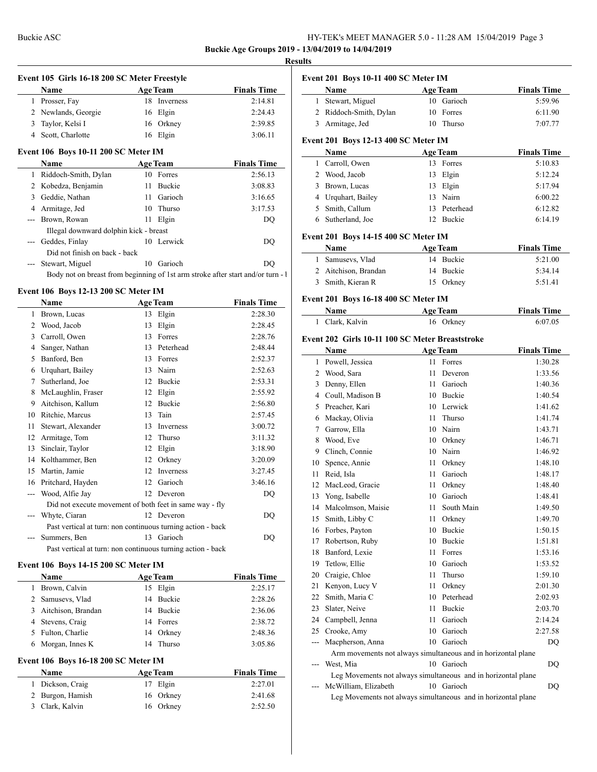## **Buckie Age Groups 2019 - 13/04/2019 to 14/04/2019**

#### **Results**

|                |                                                                                 | Event 105 Girls 16-18 200 SC Meter Freestyle |                 |                                                                                                            |
|----------------|---------------------------------------------------------------------------------|----------------------------------------------|-----------------|------------------------------------------------------------------------------------------------------------|
|                | Name<br><u> 1989 - Johann Barnett, fransk politiker (</u>                       |                                              | <b>Age Team</b> | <b>Finals Time</b>                                                                                         |
|                | 1 Prosser, Fay                                                                  |                                              | 18 Inverness    | 2:14.81                                                                                                    |
|                | 2 Newlands, Georgie                                                             |                                              | 16 Elgin        | 2:24.43                                                                                                    |
|                | 3 Taylor, Kelsi I                                                               |                                              | 16 Orkney       | 2:39.85                                                                                                    |
|                | 4 Scott, Charlotte                                                              |                                              | 16 Elgin        | 3:06.11                                                                                                    |
|                | Event 106 Boys 10-11 200 SC Meter IM                                            |                                              |                 |                                                                                                            |
|                | <b>Name</b>                                                                     |                                              | <b>Age Team</b> | <b>Finals Time</b>                                                                                         |
|                | 1 Riddoch-Smith, Dylan                                                          |                                              | 10 Forres       | 2:56.13                                                                                                    |
|                | 2 Kobedza, Benjamin                                                             |                                              | 11 Buckie       | 3:08.83                                                                                                    |
|                | 3 Geddie, Nathan                                                                |                                              | 11 Garioch      | 3:16.65                                                                                                    |
|                | 4 Armitage, Jed                                                                 |                                              | 10 Thurso       | 3:17.53                                                                                                    |
|                | --- Brown, Rowan                                                                |                                              | 11 Elgin        | DO                                                                                                         |
|                | Illegal downward dolphin kick - breast                                          |                                              |                 |                                                                                                            |
| $\overline{a}$ | Geddes, Finlay                                                                  |                                              | 10 Lerwick      | DQ                                                                                                         |
|                | Did not finish on back - back                                                   |                                              |                 |                                                                                                            |
|                | Stewart, Miguel                                                                 |                                              | 10 Garioch      | DO                                                                                                         |
|                | Body not on breast from beginning of 1st arm stroke after start and/or turn - 1 |                                              |                 |                                                                                                            |
|                | Event 106 Boys 12-13 200 SC Meter IM                                            |                                              |                 |                                                                                                            |
|                | Name                                                                            |                                              | <b>Age Team</b> | <b>Finals Time</b>                                                                                         |
|                | 1 Brown, Lucas                                                                  |                                              | 13 Elgin        | 2:28.30                                                                                                    |
|                | 2 Wood, Jacob                                                                   |                                              | 13 Elgin        |                                                                                                            |
|                |                                                                                 |                                              |                 |                                                                                                            |
|                |                                                                                 |                                              |                 |                                                                                                            |
|                | 3 Carroll, Owen                                                                 |                                              | 13 Forres       | 2:28.45<br>2:28.76                                                                                         |
|                | 4 Sanger, Nathan                                                                |                                              | 13 Peterhead    | 2:48.44                                                                                                    |
|                | 5 Banford, Ben                                                                  |                                              | 13 Forres       | 2:52.37                                                                                                    |
|                | 6 Urquhart, Bailey                                                              |                                              | 13 Nairn        | 2:52.63                                                                                                    |
|                | 7 Sutherland, Joe                                                               |                                              | 12 Buckie       |                                                                                                            |
|                | 8 McLaughlin, Fraser                                                            |                                              | 12 Elgin        |                                                                                                            |
|                | 9 Aitchison, Kallum                                                             |                                              | 12 Buckie       |                                                                                                            |
|                | 10 Ritchie, Marcus                                                              |                                              | 13 Tain         |                                                                                                            |
|                | 11 Stewart, Alexander                                                           |                                              | 13 Inverness    |                                                                                                            |
|                | 12 Armitage, Tom                                                                |                                              | 12 Thurso       |                                                                                                            |
|                | 13 Sinclair, Taylor                                                             |                                              | 12 Elgin        |                                                                                                            |
|                | 14 Kolthammer, Ben                                                              |                                              | 12 Orkney       |                                                                                                            |
|                | 15 Martin, Jamie                                                                |                                              | 12 Inverness    |                                                                                                            |
|                | 16 Pritchard, Hayden                                                            |                                              | 12 Garioch      | 2:53.31<br>2:55.92<br>2:56.80<br>2:57.45<br>3:00.72<br>3:11.32<br>3:18.90<br>3:20.09<br>3:27.45<br>3:46.16 |
|                | --- Wood, Alfie Jay                                                             |                                              | 12 Deveron      | <b>DQ</b>                                                                                                  |
|                | Did not execute movement of both feet in same way - fly                         |                                              |                 |                                                                                                            |
|                | Whyte, Ciaran                                                                   |                                              | 12 Deveron      | DO.                                                                                                        |
|                | Past vertical at turn: non continuous turning action - back<br>--- Summers, Ben |                                              | 13 Garioch      | DO                                                                                                         |

#### **Event 106 Boys 14-15 200 SC Meter IM**

 $\overline{a}$ 

|    | <b>Name</b>                           | <b>Age Team</b> | <b>Finals Time</b> |
|----|---------------------------------------|-----------------|--------------------|
| 1. | Brown, Calvin                         | 15 Elgin        | 2:25.17            |
|    | 2 Samusevs, Vlad                      | 14 Buckie       | 2:28.26            |
|    | 3 Aitchison, Brandan                  | 14 Buckie       | 2:36.06            |
|    | 4 Stevens, Craig                      | 14 Forres       | 2:38.72            |
|    | 5 Fulton, Charlie                     | 14 Orkney       | 2:48.36            |
|    | 6 Morgan, Innes K                     | 14 Thurso       | 3:05.86            |
|    | Fvent 106. Rovs 16.18.200 SC Meter IM |                 |                    |

## **Event 106 Boys 16-18 200 SC Meter IM**

| <b>Name</b>      | <b>Age Team</b> | <b>Finals Time</b> |
|------------------|-----------------|--------------------|
| 1 Dickson, Craig | 17 Elgin        | 2:27.01            |
| 2 Burgon, Hamish | 16 Orkney       | 2:41.68            |
| 3 Clark, Kalvin  | 16 Orkney       | 2:52.50            |

|                | Event 201 Boys 10-11 400 SC Meter IM                          |      |                 |                    |
|----------------|---------------------------------------------------------------|------|-----------------|--------------------|
|                | Name                                                          |      | <b>Age Team</b> | <b>Finals Time</b> |
| $\mathbf{1}$   | Stewart, Miguel                                               | 10   | Garioch         | 5:59.96            |
| 2              | Riddoch-Smith, Dylan                                          |      | 10 Forres       | 6:11.90            |
| 3              | Armitage, Jed                                                 | 10   | Thurso          | 7:07.77            |
|                | <b>Event 201 Boys 12-13 400 SC Meter IM</b>                   |      |                 |                    |
|                | Name                                                          |      | <b>Age Team</b> | <b>Finals Time</b> |
| 1              | Carroll, Owen                                                 |      | 13 Forres       | 5:10.83            |
|                | 2 Wood, Jacob                                                 |      | 13 Elgin        | 5:12.24            |
|                | 3 Brown, Lucas                                                |      | 13 Elgin        | 5:17.94            |
|                | 4 Urquhart, Bailey                                            |      | 13 Nairn        | 6:00.22            |
|                | 5 Smith, Callum                                               |      | 13 Peterhead    | 6:12.82            |
|                | 6 Sutherland, Joe                                             |      | 12 Buckie       | 6:14.19            |
|                | Event 201 Boys 14-15 400 SC Meter IM                          |      |                 |                    |
|                | Name                                                          |      | <b>Age Team</b> | <b>Finals Time</b> |
|                | 1 Samusevs, Vlad                                              |      | 14 Buckie       | 5:21.00            |
|                | 2 Aitchison, Brandan                                          | 14   | Buckie          | 5:34.14            |
| 3              | Smith, Kieran R                                               |      | 15 Orkney       | 5:51.41            |
|                |                                                               |      |                 |                    |
|                | <b>Event 201 Boys 16-18 400 SC Meter IM</b>                   |      |                 |                    |
|                | Name                                                          |      | <b>Age Team</b> | <b>Finals Time</b> |
| 1              | Clark, Kalvin                                                 |      | 16 Orkney       | 6:07.05            |
|                | Event 202 Girls 10-11 100 SC Meter Breaststroke               |      |                 |                    |
|                | Name                                                          |      | <b>Age Team</b> | <b>Finals Time</b> |
| 1              | Powell, Jessica                                               | 11   | Forres          | 1:30.28            |
| 2              | Wood, Sara                                                    | 11   | Deveron         | 1:33.56            |
| 3              | Denny, Ellen                                                  | 11   | Garioch         | 1:40.36            |
|                | 4 Coull, Madison B                                            |      | 10 Buckie       | 1:40.54            |
|                | 5 Preacher, Kari                                              |      | 10 Lerwick      | 1:41.62            |
|                | 6 Mackay, Olivia                                              | 11   | Thurso          | 1:41.74            |
| 7              | Garrow, Ella                                                  |      | 10 Nairn        | 1:43.71            |
| 8              | Wood, Eve                                                     |      | 10 Orkney       | 1:46.71            |
| 9              | Clinch, Connie                                                |      | 10 Nairn        | 1:46.92            |
| 10             | Spence, Annie                                                 | 11 - | Orkney          | 1:48.10            |
| 11             | Reid, Isla                                                    | 11 - | Garioch         | 1:48.17            |
| 12             | MacLeod, Gracie                                               | 11 - | Orkney          | 1:48.40            |
| 13             | Yong, Isabelle                                                |      | 10 Garioch      | 1:48.41            |
| 14             | Malcolmson, Maisie                                            | 11   | South Main      | 1:49.50            |
| 15             | Smith, Libby C                                                |      | 11 Orkney       | 1:49.70            |
| 16             | Forbes, Payton                                                |      | 10 Buckie       | 1:50.15            |
| 17             | Robertson, Ruby                                               |      | 10 Buckie       | 1:51.81            |
| 18             | Banford, Lexie                                                | 11 - | Forres          | 1:53.16            |
| 19             | Tetlow, Ellie                                                 |      | 10 Garioch      | 1:53.52            |
| 20             | Craigie, Chloe                                                | 11 - | Thurso          | 1:59.10            |
| 21             | Kenyon, Lucy V                                                | 11   | Orkney          | 2:01.30            |
| 22             | Smith, Maria C                                                |      | 10 Peterhead    | 2:02.93            |
| 23             | Slater, Neive                                                 | 11 - | Buckie          | 2:03.70            |
| 24             | Campbell, Jenna                                               | 11 - | Garioch         | 2:14.24            |
| 25             | Crooke, Amy                                                   |      | 10 Garioch      | 2:27.58            |
| $\overline{a}$ | Macpherson, Anna                                              |      | 10 Garioch      | DQ                 |
|                | Arm movements not always simultaneous and in horizontal plane |      |                 |                    |
| ---            | West, Mia                                                     |      | 10 Garioch      | DQ                 |
|                | Leg Movements not always simultaneous and in horizontal plane |      |                 |                    |
|                | --- McWilliam, Elizabeth                                      |      | 10 Garioch      | DQ                 |
|                | Leg Movements not always simultaneous and in horizontal plane |      |                 |                    |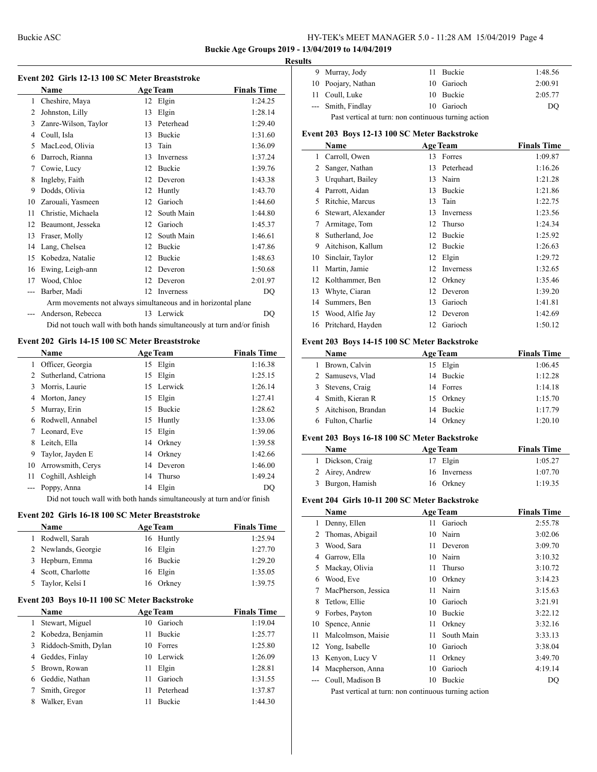$\overline{a}$ 

## Buckie ASC HY-TEK's MEET MANAGER 5.0 - 11:28 AM 15/04/2019 Page 4

## **Buckie Age Groups 2019 - 13/04/2019 to 14/04/2019**

#### **Results**

 $\overline{a}$ 

 $\overline{\phantom{a}}$ 

|    |                                                               |    |                  | <b>Buckie Age Groups 201</b> |
|----|---------------------------------------------------------------|----|------------------|------------------------------|
|    |                                                               |    |                  | F                            |
|    | Event 202 Girls 12-13 100 SC Meter Breaststroke               |    |                  |                              |
|    | Name                                                          |    | <b>Age Team</b>  | <b>Finals Time</b>           |
| 1  | Cheshire, Maya                                                | 12 | Elgin            | 1:24.25                      |
| 2  | Johnston, Lilly                                               | 13 | Elgin            | 1:28.14                      |
| 3  | Zanre-Wilson, Taylor                                          | 13 | Peterhead        | 1:29.40                      |
| 4  | Coull, Isla                                                   | 13 | <b>Buckie</b>    | 1:31.60                      |
| 5  | MacLeod, Olivia                                               | 13 | Tain             | 1:36.09                      |
| 6  | Darroch, Rianna                                               | 13 | <b>Inverness</b> | 1:37.24                      |
| 7  | Cowie, Lucy                                                   | 12 | <b>Buckie</b>    | 1:39.76                      |
| 8  | Ingleby, Faith                                                | 12 | Deveron          | 1:43.38                      |
| 9  | Dodds, Olivia                                                 | 12 | Huntly           | 1:43.70                      |
| 10 | Zarouali, Yasmeen                                             | 12 | Garioch          | 1:44.60                      |
| 11 | Christie, Michaela                                            | 12 | South Main       | 1:44.80                      |
| 12 | Beaumont, Jesseka                                             | 12 | Garioch          | 1:45.37                      |
| 13 | Fraser, Molly                                                 | 12 | South Main       | 1:46.61                      |
| 14 | Lang, Chelsea                                                 | 12 | <b>Buckie</b>    | 1:47.86                      |
| 15 | Kobedza, Natalie                                              | 12 | <b>Buckie</b>    | 1:48.63                      |
| 16 | Ewing, Leigh-ann                                              | 12 | Deveron          | 1:50.68                      |
| 17 | Wood, Chloe                                                   | 12 | Deveron          | 2:01.97                      |
|    | Barber, Madi                                                  | 12 | Inverness        | DO                           |
|    | Arm movements not always simultaneous and in horizontal plane |    |                  |                              |

Did not touch wall with both hands simultaneously at turn and/or finish

--- Anderson, Rebecca 13 Lerwick DQ

#### **Event 202 Girls 14-15 100 SC Meter Breaststroke**

|    | <b>Name</b>                                                            |    | <b>Age Team</b> | <b>Finals Time</b> |
|----|------------------------------------------------------------------------|----|-----------------|--------------------|
|    | 1 Officer, Georgia                                                     |    | 15 Elgin        | 1:16.38            |
| 2  | Sutherland, Catriona                                                   | 15 | Elgin           | 1:25.15            |
| 3  | Morris, Laurie                                                         |    | 15 Lerwick      | 1:26.14            |
|    | 4 Morton, Janey                                                        |    | 15 Elgin        | 1:27.41            |
| 5. | Murray, Erin                                                           | 15 | <b>Buckie</b>   | 1:28.62            |
|    | 6 Rodwell, Annabel                                                     |    | 15 Huntly       | 1:33.06            |
|    | Leonard, Eve                                                           |    | 15 Elgin        | 1:39.06            |
| 8. | Leitch, Ella                                                           |    | 14 Orkney       | 1:39.58            |
| 9  | Taylor, Jayden E                                                       |    | 14 Orkney       | 1:42.66            |
| 10 | Arrowsmith, Cerys                                                      |    | 14 Deveron      | 1:46.00            |
| 11 | Coghill, Ashleigh                                                      |    | 14 Thurso       | 1:49.24            |
|    | --- Poppy, Anna                                                        |    | 14 Elgin        | DO                 |
|    | Did not tough well with hoth honds simultonoously ot tum and/on finish |    |                 |                    |

Did not touch wall with both hands simultaneously at turn and/or finish

#### **Event 202 Girls 16-18 100 SC Meter Breaststroke**

|    | <b>Name</b>         | <b>Age Team</b> | <b>Finals Time</b> |
|----|---------------------|-----------------|--------------------|
| 1. | Rodwell, Sarah      | 16 Huntly       | 1:25.94            |
|    | 2 Newlands, Georgie | 16 Elgin        | 1:27.70            |
|    | 3 Hepburn, Emma     | 16 Buckie       | 1:29.20            |
|    | 4 Scott, Charlotte  | 16 Elgin        | 1:35.05            |
|    | 5 Taylor, Kelsi I   | 16 Orkney       | 1:39.75            |
|    |                     |                 |                    |

# **Event 203 Boys 10-11 100 SC Meter Backstroke**

|   | <b>Name</b>            |    | <b>Age Team</b> | <b>Finals Time</b> |
|---|------------------------|----|-----------------|--------------------|
|   | Stewart, Miguel        | 10 | Garioch         | 1:19.04            |
|   | 2 Kobedza, Benjamin    | 11 | <b>Buckie</b>   | 1:25.77            |
|   | 3 Riddoch-Smith, Dylan |    | 10 Forres       | 1:25.80            |
| 4 | Geddes, Finlay         |    | 10 Lerwick      | 1:26.09            |
|   | 5 Brown, Rowan         | 11 | Elgin           | 1:28.81            |
|   | Geddie, Nathan         | 11 | Garioch         | 1:31.55            |
|   | Smith, Gregor          | 11 | Peterhead       | 1:37.87            |
|   | Walker, Evan           | 11 | <b>Buckie</b>   | 1:44.30            |

|                                                      | 9 Murray, Jody     |  | 11 Buckie  | 1:48.56 |
|------------------------------------------------------|--------------------|--|------------|---------|
|                                                      | 10 Poojary, Nathan |  | 10 Garioch | 2:00.91 |
|                                                      | 11 Coull, Luke     |  | 10 Buckie  | 2:05.77 |
|                                                      | --- Smith, Findlay |  | 10 Garioch | DO      |
| Past vertical at turn: non continuous turning action |                    |  |            |         |

#### **Event 203 Boys 12-13 100 SC Meter Backstroke**

|    | Name               |    | <b>Age Team</b> | <b>Finals Time</b> |
|----|--------------------|----|-----------------|--------------------|
| 1  | Carroll, Owen      | 13 | Forres          | 1:09.87            |
| 2  | Sanger, Nathan     | 13 | Peterhead       | 1:16.26            |
| 3  | Urquhart, Bailey   | 13 | Nairn           | 1:21.28            |
| 4  | Parrott, Aidan     | 13 | Buckie          | 1:21.86            |
| 5  | Ritchie, Marcus    | 13 | Tain            | 1:22.75            |
| 6  | Stewart, Alexander | 13 | Inverness       | 1:23.56            |
| 7  | Armitage, Tom      | 12 | Thurso          | 1:24.34            |
| 8  | Sutherland, Joe    | 12 | Buckie          | 1:25.92            |
| 9  | Aitchison, Kallum  | 12 | <b>Buckie</b>   | 1:26.63            |
| 10 | Sinclair, Taylor   | 12 | Elgin           | 1:29.72            |
| 11 | Martin, Jamie      | 12 | Inverness       | 1:32.65            |
| 12 | Kolthammer, Ben    | 12 | Orkney          | 1:35.46            |
| 13 | Whyte, Ciaran      | 12 | Deveron         | 1:39.20            |
| 14 | Summers, Ben       | 13 | Garioch         | 1:41.81            |
| 15 | Wood, Alfie Jay    | 12 | Deveron         | 1:42.69            |
| 16 | Pritchard, Hayden  | 12 | Garioch         | 1:50.12            |

#### **Event 203 Boys 14-15 100 SC Meter Backstroke**

| Name                 | <b>Age Team</b> | <b>Finals Time</b> |
|----------------------|-----------------|--------------------|
| Brown, Calvin        | 15 Elgin        | 1:06.45            |
| 2 Samusevs, Vlad     | 14 Buckie       | 1:12.28            |
| 3 Stevens, Craig     | 14 Forres       | 1:14.18            |
| 4 Smith, Kieran R    | 15 Orkney       | 1:15.70            |
| 5 Aitchison, Brandan | 14 Buckie       | 1:17.79            |
| Fulton, Charlie      | 14 Orkney       | 1:20.10            |

#### **Event 203 Boys 16-18 100 SC Meter Backstroke**

| <b>Age Team</b><br><b>Name</b> |              | <b>Finals Time</b> |
|--------------------------------|--------------|--------------------|
| 1 Dickson, Craig               | 17 Elgin     | 1:05.27            |
| 2 Airey, Andrew                | 16 Inverness | 1:07.70            |
| 3 Burgon, Hamish               | 16 Orkney    | 1:19.35            |

#### **Event 204 Girls 10-11 200 SC Meter Backstroke**

|    | Name                                                 |    | <b>Age Team</b> | <b>Finals Time</b> |
|----|------------------------------------------------------|----|-----------------|--------------------|
| 1  | Denny, Ellen                                         | 11 | Garioch         | 2:55.78            |
| 2  | Thomas, Abigail                                      | 10 | Nairn           | 3:02.06            |
| 3  | Wood, Sara                                           | 11 | Deveron         | 3:09.70            |
| 4  | Garrow, Ella                                         | 10 | Nairn           | 3:10.32            |
| 5  | Mackay, Olivia                                       | 11 | Thurso          | 3:10.72            |
| 6  | Wood, Eve                                            | 10 | Orkney          | 3:14.23            |
| 7  | MacPherson, Jessica                                  | 11 | Nairn           | 3:15.63            |
| 8  | Tetlow, Ellie                                        | 10 | Garioch         | 3:21.91            |
| 9  | Forbes, Payton                                       | 10 | Buckie          | 3:22.12            |
| 10 | Spence, Annie                                        | 11 | Orkney          | 3:32.16            |
| 11 | Malcolmson, Maisie                                   | 11 | South Main      | 3:33.13            |
| 12 | Yong, Isabelle                                       | 10 | Garioch         | 3:38.04            |
| 13 | Kenyon, Lucy V                                       | 11 | Orkney          | 3:49.70            |
| 14 | Macpherson, Anna                                     | 10 | Garioch         | 4:19.14            |
|    | Coull, Madison B                                     | 10 | Buckie          | DQ                 |
|    | Doct transied at true was continuous trunced patient |    |                 |                    |

Past vertical at turn: non continuous turning action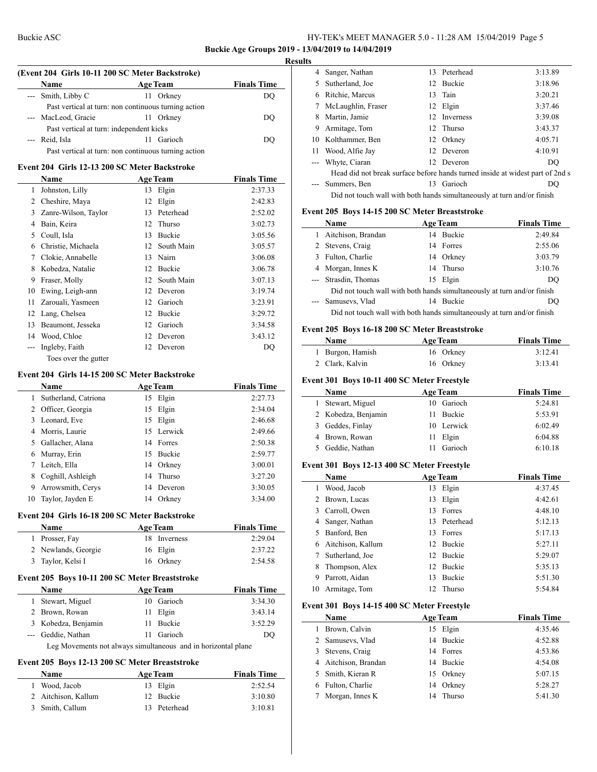### **Buckie Age Groups 2019 - 13/04/2019 to 14/04/2019**

#### **Results**

| (Event 204 Girls 10-11 200 SC Meter Backstroke) |                                                      |    |                 |                    |  |
|-------------------------------------------------|------------------------------------------------------|----|-----------------|--------------------|--|
|                                                 | <b>Name</b>                                          |    | <b>Age Team</b> | <b>Finals Time</b> |  |
|                                                 | --- Smith, Libby C                                   |    | 11 Orkney       | DO                 |  |
|                                                 | Past vertical at turn: non continuous turning action |    |                 |                    |  |
|                                                 | MacLeod, Gracie                                      |    | 11 Orkney       | DO                 |  |
|                                                 | Past vertical at turn: independent kicks             |    |                 |                    |  |
|                                                 | Reid, Isla                                           |    | 11 Garioch      | DO                 |  |
|                                                 | Past vertical at turn: non continuous turning action |    |                 |                    |  |
|                                                 | Event 204 Girls 12-13 200 SC Meter Backstroke        |    |                 |                    |  |
|                                                 | <b>Name</b>                                          |    | <b>Age Team</b> | <b>Finals Time</b> |  |
| 1                                               | Johnston, Lilly                                      | 13 | Elgin           | 2:37.33            |  |
| 2                                               | Cheshire, Maya                                       | 12 | Elgin           | 2:42.83            |  |
| 3                                               | Zanre-Wilson, Taylor                                 | 13 | Peterhead       | 2:52.02            |  |
| 4                                               | Bain, Keira                                          | 12 | Thurso          | 3:02.73            |  |
| 5                                               | Coull, Isla                                          | 13 | <b>Buckie</b>   | 3:05.56            |  |
| 6                                               | Christie, Michaela                                   | 12 | South Main      | 3:05.57            |  |
| 7                                               | Clokie, Annabelle                                    | 13 | Nairn           | 3:06.08            |  |
| 8                                               | Kobedza, Natalie                                     | 12 | <b>Buckie</b>   | 3:06.78            |  |
| 9                                               | Fraser, Molly                                        | 12 | South Main      | 3:07.13            |  |
| 10                                              | Ewing, Leigh-ann                                     | 12 | Deveron         | 3:19.74            |  |
| 11                                              | Zarouali, Yasmeen                                    | 12 | Garioch         | 3:23.91            |  |
| 12                                              | Lang, Chelsea                                        | 12 | <b>Buckie</b>   | 3:29.72            |  |
| 13                                              | Beaumont, Jesseka                                    | 12 | Garioch         | 3:34.58            |  |
| 14                                              | Wood, Chloe                                          | 12 | Deveron         | 3:43.12            |  |
| $---$                                           | Ingleby, Faith                                       | 12 | Deveron         | DO                 |  |
|                                                 | Toes over the gutter                                 |    |                 |                    |  |

#### **Event 204 Girls 14-15 200 SC Meter Backstroke**

|    | Name                 |     | <b>Age Team</b> | <b>Finals Time</b> |
|----|----------------------|-----|-----------------|--------------------|
| 1  | Sutherland, Catriona | 15  | Elgin           | 2:27.73            |
| 2  | Officer, Georgia     |     | 15 Elgin        | 2:34.04            |
| 3  | Leonard, Eve         |     | 15 Elgin        | 2:46.68            |
|    | 4 Morris, Laurie     |     | 15 Lerwick      | 2:49.66            |
| 5. | Gallacher, Alana     |     | 14 Forres       | 2:50.38            |
| 6  | Murray, Erin         | 15. | Buckie          | 2:59.77            |
|    | Leitch, Ella         |     | 14 Orkney       | 3:00.01            |
| 8  | Coghill, Ashleigh    |     | 14 Thurso       | 3:27.20            |
| 9  | Arrowsmith, Cerys    |     | 14 Deveron      | 3:30.05            |
| 10 | Taylor, Jayden E     | 14  | Orkney          | 3:34.00            |
|    |                      |     |                 |                    |

# **Event 204 Girls 16-18 200 SC Meter Backstroke**

| <b>Name</b>         | <b>Age Team</b> | <b>Finals Time</b> |  |
|---------------------|-----------------|--------------------|--|
| 1 Prosser, Fay      | 18 Inverness    | 2:29.04            |  |
| 2 Newlands, Georgie | 16 Elgin        | 2:37.22            |  |
| 3 Taylor, Kelsi I   | 16 Orkney       | 2:54.58            |  |

## **Event 205 Boys 10-11 200 SC Meter Breaststroke**

|                                                               | <b>Name</b>         |  | <b>Age Team</b> | <b>Finals Time</b> |  |
|---------------------------------------------------------------|---------------------|--|-----------------|--------------------|--|
|                                                               | 1 Stewart, Miguel   |  | 10 Garioch      | 3:34.30            |  |
|                                                               | 2 Brown, Rowan      |  | 11 Elgin        | 3:43.14            |  |
|                                                               | 3 Kobedza, Benjamin |  | 11 Buckie       | 3:52.29            |  |
|                                                               | --- Geddie, Nathan  |  | 11 Garioch      | DO                 |  |
| Leg Movements not always simultaneous and in horizontal plane |                     |  |                 |                    |  |

#### **Event 205 Boys 12-13 200 SC Meter Breaststroke**

| <b>Name</b>         | <b>Age Team</b> | <b>Finals Time</b> |  |
|---------------------|-----------------|--------------------|--|
| 1 Wood, Jacob       | 13 Elgin        | 2:52.54            |  |
| 2 Aitchison, Kallum | 12 Buckie       | 3:10.80            |  |
| 3 Smith, Callum     | 13 Peterhead    | 3:10.81            |  |

| 4  | Sanger, Nathan                                                                |    | 13 Peterhead | 3:13.89 |
|----|-------------------------------------------------------------------------------|----|--------------|---------|
| 5. | Sutherland, Joe                                                               |    | 12 Buckie    | 3:18.96 |
| 6  | Ritchie, Marcus                                                               |    | 13 Tain      | 3:20.21 |
|    | McLaughlin, Fraser                                                            |    | 12 Elgin     | 3:37.46 |
| 8  | Martin, Jamie                                                                 |    | 12 Inverness | 3:39.08 |
| 9  | Armitage, Tom                                                                 |    | 12 Thurso    | 3:43.37 |
| 10 | Kolthammer, Ben                                                               | 12 | Orkney       | 4:05.71 |
| 11 | Wood, Alfie Jay                                                               |    | 12 Deveron   | 4:10.91 |
|    | Whyte, Ciaran                                                                 |    | 12 Deveron   | DO      |
|    | Head did not break surface before hands turned inside at widest part of 2nd s |    |              |         |
|    | Summers, Ben                                                                  | 13 | Garioch      | DO      |
|    | Did not touch wall with both hands simultaneously at turn and/or finish       |    |              |         |
|    |                                                                               |    |              |         |

### **Event 205 Boys 14-15 200 SC Meter Breaststroke**

| Name                                                                    |    | <b>Age Team</b> | <b>Finals Time</b> |  |
|-------------------------------------------------------------------------|----|-----------------|--------------------|--|
| 1 Aitchison, Brandan                                                    |    | 14 Buckie       | 2:49.84            |  |
| 2 Stevens, Craig                                                        |    | 14 Forres       | 2:55.06            |  |
| 3 Fulton, Charlie                                                       |    | 14 Orkney       | 3:03.79            |  |
| 4 Morgan, Innes K                                                       |    | 14 Thurso       | 3:10.76            |  |
| --- Strasdin, Thomas                                                    |    | 15 Elgin        | DO                 |  |
| Did not touch wall with both hands simultaneously at turn and/or finish |    |                 |                    |  |
| --- Samusevs, Vlad                                                      | 14 | <b>Buckie</b>   | DO                 |  |
| Did not touch wall with both hands simultaneously at turn and/or finish |    |                 |                    |  |

#### **Event 205 Boys 16-18 200 SC Meter Breaststroke**

| Name             | <b>Age Team</b> | <b>Finals Time</b> |  |
|------------------|-----------------|--------------------|--|
| 1 Burgon, Hamish | 16 Orkney       | 3:12.41            |  |
| 2 Clark, Kalvin  | 16 Orkney       | 3:13.41            |  |

#### **Event 301 Boys 10-11 400 SC Meter Freestyle**

| <b>Name</b><br><b>Age Team</b> |               | <b>Finals Time</b> |
|--------------------------------|---------------|--------------------|
| Stewart, Miguel                | 10 Garioch    | 5:24.81            |
| 2 Kobedza, Benjamin            | <b>Buckie</b> | 5:53.91            |
| 3 Geddes, Finlay               | 10 Lerwick    | 6:02.49            |
| 4 Brown, Rowan                 | 11 Elgin      | 6:04.88            |
| Geddie, Nathan                 | 11 Garioch    | 6:10.18            |

#### **Event 301 Boys 12-13 400 SC Meter Freestyle**

|    | <b>Name</b>         |    | <b>Age Team</b> | <b>Finals Time</b> |
|----|---------------------|----|-----------------|--------------------|
|    | Wood, Jacob         | 13 | Elgin           | 4:37.45            |
|    | 2 Brown, Lucas      | 13 | Elgin           | 4:42.61            |
|    | 3 Carroll, Owen     | 13 | Forres          | 4:48.10            |
|    | 4 Sanger, Nathan    |    | 13 Peterhead    | 5:12.13            |
|    | 5 Banford, Ben      |    | 13 Forres       | 5:17.13            |
|    | 6 Aitchison, Kallum |    | 12 Buckie       | 5:27.11            |
|    | Sutherland, Joe     | 12 | <b>Buckie</b>   | 5:29.07            |
| 8  | Thompson, Alex      |    | 12 Buckie       | 5:35.13            |
| 9  | Parrott, Aidan      | 13 | <b>Buckie</b>   | 5:51.30            |
| 10 | Armitage, Tom       | 12 | Thurso          | 5:54.84            |

## **Event 301 Boys 14-15 400 SC Meter Freestyle**

| Name                 | <b>Age Team</b> | <b>Finals Time</b> |
|----------------------|-----------------|--------------------|
| Brown, Calvin<br>1.  | 15 Elgin        | 4:35.46            |
| 2 Samusevs, Vlad     | 14 Buckie       | 4:52.88            |
| 3 Stevens, Craig     | 14 Forres       | 4:53.86            |
| 4 Aitchison, Brandan | 14 Buckie       | 4:54.08            |
| 5 Smith, Kieran R    | 15 Orkney       | 5:07.15            |
| 6 Fulton, Charlie    | 14 Orkney       | 5:28.27            |
| Morgan, Innes K      | Thurso<br>14    | 5:41.30            |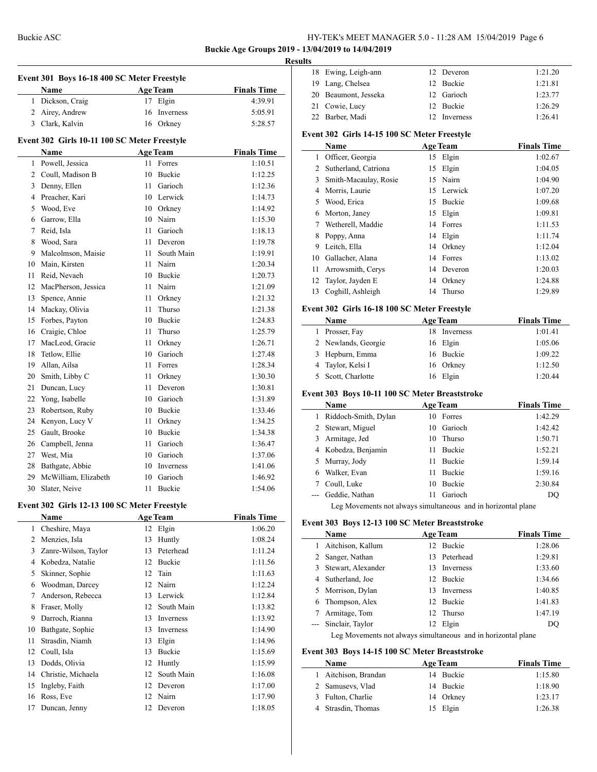**Buckie Age Groups 2019 - 13/04/2019 to 14/04/2019**

#### **Results**

 $\overline{a}$ 

 $\overline{a}$ 

| Event 301 Boys 16-18 400 SC Meter Freestyle  |                                              |      |                 |                    |  |  |  |
|----------------------------------------------|----------------------------------------------|------|-----------------|--------------------|--|--|--|
|                                              | Name                                         |      | <b>Age Team</b> | <b>Finals Time</b> |  |  |  |
|                                              | 1 Dickson, Craig                             |      | 17 Elgin        | 4:39.91            |  |  |  |
|                                              | 2 Airey, Andrew                              |      | 16 Inverness    | 5:05.91            |  |  |  |
|                                              | 3 Clark, Kalvin                              |      | 16 Orkney       | 5:28.57            |  |  |  |
| Event 302 Girls 10-11 100 SC Meter Freestyle |                                              |      |                 |                    |  |  |  |
|                                              | Name                                         |      | <b>Age Team</b> | <b>Finals Time</b> |  |  |  |
|                                              | 1 Powell, Jessica                            |      | 11 Forres       | 1:10.51            |  |  |  |
|                                              | 2 Coull, Madison B                           |      | 10 Buckie       | 1:12.25            |  |  |  |
|                                              | 3 Denny, Ellen                               |      | 11 Garioch      | 1:12.36            |  |  |  |
|                                              | 4 Preacher, Kari                             |      | 10 Lerwick      | 1:14.73            |  |  |  |
|                                              | 5 Wood, Eve                                  |      | 10 Orkney       | 1:14.92            |  |  |  |
|                                              | 6 Garrow, Ella                               |      | 10 Nairn        | 1:15.30            |  |  |  |
|                                              | 7 Reid, Isla                                 | 11.  | Garioch         | 1:18.13            |  |  |  |
|                                              | 8 Wood, Sara                                 |      | 11 Deveron      | 1:19.78            |  |  |  |
|                                              | 9 Malcolmson, Maisie                         |      | 11 South Main   | 1:19.91            |  |  |  |
|                                              | 10 Main, Kirsten                             |      | 11 Nairn        | 1:20.34            |  |  |  |
|                                              | 11 Reid, Nevaeh                              |      | 10 Buckie       | 1:20.73            |  |  |  |
|                                              | 12 MacPherson, Jessica                       |      | 11 Nairn        | 1:21.09            |  |  |  |
|                                              | 13 Spence, Annie                             |      | 11 Orkney       | 1:21.32            |  |  |  |
|                                              | 14 Mackay, Olivia                            | 11   | Thurso          | 1:21.38            |  |  |  |
|                                              | 15 Forbes, Payton                            |      | 10 Buckie       | 1:24.83            |  |  |  |
|                                              | 16 Craigie, Chloe                            | 11.  | Thurso          | 1:25.79            |  |  |  |
|                                              | 17 MacLeod, Gracie                           | 11 - | Orkney          | 1:26.71            |  |  |  |
|                                              | 18 Tetlow, Ellie                             |      | 10 Garioch      | 1:27.48            |  |  |  |
|                                              | 19 Allan, Ailsa                              | 11   | Forres          | 1:28.34            |  |  |  |
|                                              | 20 Smith, Libby C                            | 11 - | Orkney          | 1:30.30            |  |  |  |
|                                              | 21 Duncan, Lucy                              | 11   | Deveron         | 1:30.81            |  |  |  |
|                                              | 22 Yong, Isabelle                            |      | 10 Garioch      | 1:31.89            |  |  |  |
|                                              | 23 Robertson, Ruby                           |      | 10 Buckie       | 1:33.46            |  |  |  |
|                                              | 24 Kenyon, Lucy V                            |      | 11 Orkney       | 1:34.25            |  |  |  |
|                                              | 25 Gault, Brooke                             |      | 10 Buckie       | 1:34.38            |  |  |  |
|                                              | 26 Campbell, Jenna                           | 11 - | Garioch         | 1:36.47            |  |  |  |
|                                              | 27 West, Mia                                 |      | 10 Garioch      | 1:37.06            |  |  |  |
|                                              | 28 Bathgate, Abbie                           |      | 10 Inverness    | 1:41.06            |  |  |  |
|                                              | 29 McWilliam, Elizabeth                      |      | 10 Garioch      | 1:46.92            |  |  |  |
| 30                                           | Slater, Neive                                | 11   | Buckie          | 1:54.06            |  |  |  |
|                                              | Event 302 Girls 12-13 100 SC Meter Freestyle |      |                 |                    |  |  |  |
|                                              | Name                                         |      | <b>Age Team</b> | <b>Finals Time</b> |  |  |  |
| 1                                            | Cheshire, Maya                               |      | 12 Elgin        | 1:06.20            |  |  |  |
| 2                                            | Menzies, Isla                                | 13   | Huntly          | 1:08.24            |  |  |  |
| 3                                            | Zanre-Wilson, Taylor                         | 13   | Peterhead       | 1:11.24            |  |  |  |
|                                              | 4 Kobedza, Natalie                           |      | 12 Buckie       | 1:11.56            |  |  |  |
| 5                                            | Skinner, Sophie                              | 12   | Tain            | 1:11.63            |  |  |  |
|                                              | 6 Woodman, Darcey                            |      | 12 Nairn        | 1:12.24            |  |  |  |
| 7                                            | Anderson, Rebecca                            | 13   | Lerwick         | 1:12.84            |  |  |  |
| 8                                            | Fraser, Molly                                | 12   | South Main      | 1:13.82            |  |  |  |
| 9                                            | Darroch, Rianna                              | 13   | Inverness       | 1:13.92            |  |  |  |
|                                              | 10 Bathgate, Sophie                          | 13   | Inverness       | 1:14.90            |  |  |  |

 Strasdin, Niamh 13 Elgin 1:14.96 12 Coull, Isla 13 Buckie 1:15.69 13 Dodds, Olivia 12 Huntly 1:15.99<br>14 Christie, Michaela 12 South Main 1:16.08 Christie, Michaela 12 South Main 1:16.08 Ingleby, Faith 12 Deveron 1:17.00 16 Ross, Eve 12 Nairn 1:17.90 Duncan, Jenny 12 Deveron 1:18.05

| 18 Ewing, Leigh-ann  | 12 Deveron   | 1:21.20 |
|----------------------|--------------|---------|
| 19 Lang, Chelsea     | 12 Buckie    | 1:21.81 |
| 20 Beaumont, Jesseka | 12 Garioch   | 1:23.77 |
| 21 Cowie, Lucy       | 12 Buckie    | 1:26.29 |
| 22 Barber, Madi      | 12 Inverness | 1:26.41 |

#### **Event 302 Girls 14-15 100 SC Meter Freestyle**

|    | Name                   |    | <b>Age Team</b> | <b>Finals Time</b> |
|----|------------------------|----|-----------------|--------------------|
|    | 1 Officer, Georgia     |    | 15 Elgin        | 1:02.67            |
|    | 2 Sutherland, Catriona | 15 | Elgin           | 1:04.05            |
| 3  | Smith-Macaulay, Rosie  |    | 15 Nairn        | 1:04.90            |
| 4  | Morris, Laurie         |    | 15 Lerwick      | 1:07.20            |
| 5  | Wood, Erica            | 15 | <b>Buckie</b>   | 1:09.68            |
| 6  | Morton, Janey          | 15 | Elgin           | 1:09.81            |
|    | Wetherell, Maddie      | 14 | Forres          | 1:11.53            |
| 8  | Poppy, Anna            |    | 14 Elgin        | 1:11.74            |
| 9  | Leitch, Ella           | 14 | Orkney          | 1:12.04            |
| 10 | Gallacher, Alana       | 14 | Forres          | 1:13.02            |
| 11 | Arrowsmith, Cerys      |    | 14 Deveron      | 1:20.03            |
| 12 | Taylor, Jayden E       | 14 | Orkney          | 1:24.88            |
| 13 | Coghill, Ashleigh      | 14 | Thurso          | 1:29.89            |

#### **Event 302 Girls 16-18 100 SC Meter Freestyle**

| Name                | <b>Age Team</b> | <b>Finals Time</b> |
|---------------------|-----------------|--------------------|
| 1 Prosser, Fay      | 18 Inverness    | 1:01.41            |
| 2 Newlands, Georgie | 16 Elgin        | 1:05.06            |
| 3 Hepburn, Emma     | 16 Buckie       | 1:09.22            |
| 4 Taylor, Kelsi I   | 16 Orkney       | 1:12.50            |
| 5 Scott, Charlotte  | 16 Elgin        | 1:20.44            |

#### **Event 303 Boys 10-11 100 SC Meter Breaststroke**

|   | Name                 | <b>Age Team</b>     | <b>Finals Time</b> |
|---|----------------------|---------------------|--------------------|
|   | Riddoch-Smith, Dylan | 10 Forres           | 1:42.29            |
|   | 2 Stewart, Miguel    | 10 Garioch          | 1:42.42            |
| 3 | Armitage, Jed        | 10 Thurso           | 1:50.71            |
|   | 4 Kobedza, Benjamin  | <b>Buckie</b><br>11 | 1:52.21            |
|   | 5 Murray, Jody       | <b>Buckie</b><br>11 | 1:59.14            |
|   | Walker, Evan         | <b>Buckie</b><br>11 | 1:59.16            |
|   | Coull, Luke          | <b>Buckie</b><br>10 | 2:30.84            |
|   | --- Geddie, Nathan   | Garioch<br>11       | DO                 |
|   |                      |                     |                    |

Leg Movements not always simultaneous and in horizontal plane

#### **Event 303 Boys 12-13 100 SC Meter Breaststroke**

|                                                               | Name                 |     | <b>Age Team</b>  | <b>Finals Time</b> |  |
|---------------------------------------------------------------|----------------------|-----|------------------|--------------------|--|
|                                                               | Aitchison, Kallum    |     | 12 Buckie        | 1:28.06            |  |
|                                                               | 2 Sanger, Nathan     |     | 13 Peterhead     | 1:29.81            |  |
|                                                               | 3 Stewart, Alexander | 13. | Inverness        | 1:33.60            |  |
|                                                               | 4 Sutherland, Joe    |     | 12 Buckie        | 1:34.66            |  |
|                                                               | 5 Morrison, Dylan    | 13. | <b>Inverness</b> | 1:40.85            |  |
| 6                                                             | Thompson, Alex       |     | 12 Buckie        | 1:41.83            |  |
| 7                                                             | Armitage, Tom        |     | 12 Thurso        | 1:47.19            |  |
|                                                               | --- Sinclair, Taylor |     | 12 Elgin         | DO                 |  |
| Leg Movements not always simultaneous and in horizontal plane |                      |     |                  |                    |  |

# **Event 303 Boys 14-15 100 SC Meter Breaststroke**

| <b>Name</b>          | <b>Age Team</b> | <b>Finals Time</b> |
|----------------------|-----------------|--------------------|
| 1 Aitchison, Brandan | 14 Buckie       | 1:15.80            |
| 2 Samusevs, Vlad     | 14 Buckie       | 1:18.90            |
| 3 Fulton, Charlie    | 14 Orkney       | 1:23.17            |
| 4 Strasdin, Thomas   | 15 Elgin        | 1:26.38            |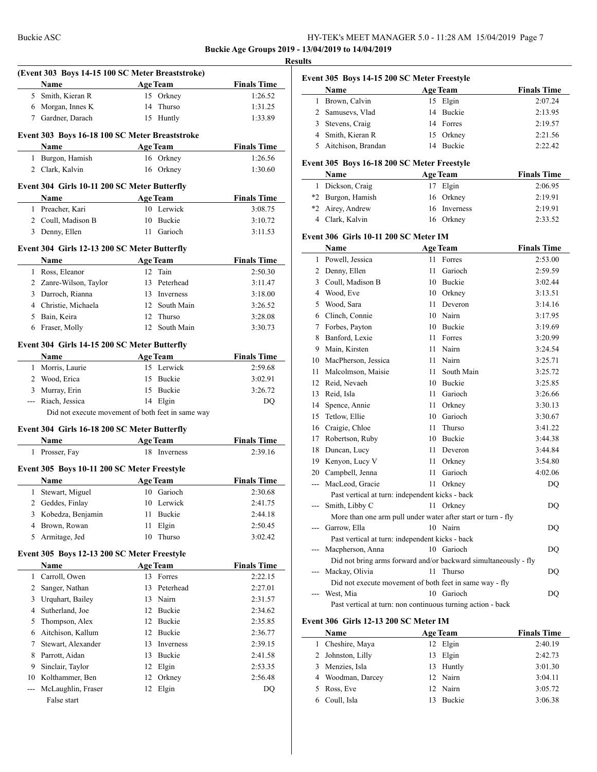**Buckie Age Groups 2019 - 13/04/2019 to 14/04/2019**

|                | (Event 303 Boys 14-15 100 SC Meter Breaststroke)    |                                                   |                    |
|----------------|-----------------------------------------------------|---------------------------------------------------|--------------------|
|                | <b>Name</b>                                         | Age Team                                          | <b>Finals Time</b> |
|                | 5 Smith, Kieran R                                   | 15 Orkney                                         | 1:26.52            |
|                | 6 Morgan, Innes K                                   | 14 Thurso                                         | 1:31.25            |
|                | 7 Gardner, Darach                                   | 15 Huntly                                         | 1:33.89            |
|                | Event 303 Boys 16-18 100 SC Meter Breaststroke      |                                                   |                    |
|                | Name                                                | <b>Example 2 Age Team</b>                         | <b>Finals Time</b> |
|                | 1 Burgon, Hamish                                    | 16 Orkney                                         | 1:26.56            |
|                | 2 Clark, Kalvin                                     | 16 Orkney                                         | 1:30.60            |
|                | Event 304 Girls 10-11 200 SC Meter Butterfly        |                                                   |                    |
|                | Name<br><u> 1990 - Jan Bartha, politik a</u>        | <b>Age Team</b>                                   | <b>Finals Time</b> |
|                | 1 Preacher, Kari                                    | 10 Lerwick                                        | 3:08.75            |
|                | 2 Coull, Madison B                                  | 10 Buckie                                         | 3:10.72            |
|                | 3 Denny, Ellen                                      | 11 Garioch                                        | 3:11.53            |
|                | Event 304 Girls 12-13 200 SC Meter Butterfly        |                                                   |                    |
|                |                                                     | Name Age Team                                     | <b>Finals Time</b> |
|                | 1 Ross, Eleanor                                     | 12 Tain                                           | 2:50.30            |
|                | 2 Zanre-Wilson, Taylor                              | 13 Peterhead                                      | 3:11.47            |
|                | 3 Darroch, Rianna                                   | 13 Inverness                                      | 3:18.00            |
|                | 4 Christie, Michaela                                | 12 South Main                                     | 3:26.52            |
|                | 5 Bain, Keira                                       | 12 Thurso                                         | 3:28.08            |
|                | 6 Fraser, Molly                                     | 12 South Main                                     | 3:30.73            |
|                |                                                     |                                                   |                    |
|                | Event 304 Girls 14-15 200 SC Meter Butterfly        |                                                   | <b>Finals Time</b> |
|                | Name<br>1 Morris, Laurie                            | <b>Example 2 Age Team</b><br>15 Lerwick           | 2:59.68            |
|                | 2 Wood, Erica                                       | 15 Buckie                                         | 3:02.91            |
|                | 3 Murray, Erin                                      | 15 Buckie                                         | 3:26.72            |
|                |                                                     |                                                   |                    |
|                |                                                     |                                                   |                    |
|                | --- Riach, Jessica                                  | 14 Elgin                                          | DQ                 |
|                |                                                     | Did not execute movement of both feet in same way |                    |
|                | Event 304 Girls 16-18 200 SC Meter Butterfly        |                                                   |                    |
|                | Name                                                | <b>Example 2 Age Team</b>                         | <b>Finals Time</b> |
|                | 1 Prosser, Fay                                      | 18 Inverness                                      | 2:39.16            |
|                | Event 305 Boys 10-11 200 SC Meter Freestyle         |                                                   |                    |
|                | <b>Name</b>                                         | <b>Age Team</b>                                   | <b>Finals Time</b> |
|                | 1 Stewart, Miguel 10 Garioch                        |                                                   | 2:30.68            |
|                | 2 Geddes, Finlay                                    | 10 Lerwick                                        | 2:41.75            |
| 3              | Kobedza, Benjamin                                   | Buckie<br>11                                      | 2:44.18            |
| 4              | Brown, Rowan                                        | Elgin<br>11                                       | 2:50.45            |
| 5              | Armitage, Jed                                       | Thurso<br>10                                      | 3:02.42            |
|                |                                                     |                                                   |                    |
|                | Event 305 Boys 12-13 200 SC Meter Freestyle<br>Name | <b>Age Team</b>                                   | <b>Finals Time</b> |
|                | 1 Carroll, Owen                                     | 13 Forres                                         | 2:22.15            |
| $\overline{2}$ | Sanger, Nathan                                      | 13 Peterhead                                      | 2:27.01            |
| 3              | Urquhart, Bailey                                    | 13 Nairn                                          | 2:31.57            |
| $\overline{4}$ | Sutherland, Joe                                     | 12 Buckie                                         | 2:34.62            |
| 5              | Thompson, Alex                                      | 12 Buckie                                         | 2:35.85            |
| 6              | Aitchison, Kallum                                   | 12 Buckie                                         | 2:36.77            |
| 7              |                                                     | Inverness<br>13                                   |                    |
| 8              | Stewart, Alexander                                  | Buckie<br>13                                      | 2:39.15<br>2:41.58 |
| 9              | Parrott, Aidan                                      |                                                   |                    |
|                | Sinclair, Taylor                                    | Elgin<br>12                                       | 2:53.35            |
| $\overline{a}$ | 10 Kolthammer, Ben<br>McLaughlin, Fraser            | Orkney<br>12<br>Elgin<br>12                       | 2:56.48<br>DQ      |

|              | Name                                                              | <b>Age Team</b>                                                          | <b>Finals Time</b> |
|--------------|-------------------------------------------------------------------|--------------------------------------------------------------------------|--------------------|
| $\mathbf{1}$ | Brown, Calvin                                                     | Elgin<br>15                                                              | 2:07.24            |
|              | 2 Samusevs, Vlad                                                  | Buckie<br>14                                                             | 2:13.95            |
|              | 3 Stevens, Craig                                                  | 14<br>Forres                                                             | 2:19.57            |
|              | 4 Smith, Kieran R                                                 | 15<br>Orkney                                                             | 2:21.56            |
| 5            | Aitchison, Brandan                                                | 14<br>Buckie                                                             | 2:22.42            |
|              |                                                                   |                                                                          |                    |
|              | Event 305 Boys 16-18 200 SC Meter Freestyle                       |                                                                          |                    |
|              | Name                                                              | <b>Age Team</b>                                                          | <b>Finals Time</b> |
| 1            | Dickson, Craig                                                    | Elgin<br>17                                                              | 2:06.95            |
|              | *2 Burgon, Hamish                                                 | 16<br>Orkney                                                             | 2:19.91            |
|              | *2 Airey, Andrew                                                  | Inverness<br>16                                                          | 2:19.91            |
|              | 4 Clark, Kalvin                                                   | 16 Orkney                                                                | 2:33.52            |
|              | Event 306 Girls 10-11 200 SC Meter IM                             |                                                                          |                    |
|              | Name                                                              | <b>Age Team</b>                                                          | <b>Finals Time</b> |
|              | 1 Powell, Jessica                                                 | Forres<br>11                                                             | 2:53.00            |
|              | 2 Denny, Ellen                                                    | Garioch<br>11                                                            | 2:59.59            |
| 3            | Coull, Madison B                                                  | Buckie<br>10                                                             | 3:02.44            |
|              | 4 Wood, Eve                                                       | Orkney<br>10                                                             | 3:13.51            |
|              | 5 Wood, Sara                                                      | Deveron<br>11                                                            | 3:14.16            |
|              | 6 Clinch, Connie                                                  | Nairn<br>10                                                              | 3:17.95            |
|              | 7 Forbes, Payton                                                  | Buckie<br>10                                                             | 3:19.69            |
|              | 8 Banford, Lexie                                                  | Forres<br>11                                                             | 3:20.99            |
|              | 9 Main, Kirsten                                                   | Nairn<br>11                                                              | 3:24.54            |
|              | 10 MacPherson, Jessica                                            | Nairn<br>11 -                                                            | 3:25.71            |
| 11           | Malcolmson, Maisie                                                | South Main<br>11.                                                        | 3:25.72            |
|              | 12 Reid, Nevaeh                                                   | 10 Buckie                                                                | 3:25.85            |
| 13           | Reid, Isla                                                        | Garioch<br>11.                                                           | 3:26.66            |
| 14           | Spence, Annie                                                     | Orkney<br>11.                                                            | 3:30.13            |
| 15           | Tetlow, Ellie                                                     | Garioch<br>10                                                            | 3:30.67            |
|              | 16 Craigie, Chloe                                                 | 11<br>Thurso                                                             | 3:41.22            |
| 17           | Robertson, Ruby                                                   | Buckie<br>10                                                             | 3:44.38            |
|              |                                                                   | 11<br>Deveron                                                            |                    |
| 18<br>19     | Duncan, Lucy<br>Kenyon, Lucy V                                    | 11.                                                                      | 3:44.84<br>3:54.80 |
|              |                                                                   | Orkney<br>Garioch<br>11.                                                 | 4:02.06            |
|              | 20 Campbell, Jenna<br>--- MacLeod, Gracie                         |                                                                          |                    |
|              |                                                                   | Orkney<br>11                                                             | DQ                 |
|              | Past vertical at turn: independent kicks - back<br>Smith, Libby C |                                                                          |                    |
| ---          |                                                                   | Orkney<br>11                                                             | DQ                 |
|              |                                                                   | More than one arm pull under water after start or turn - fly<br>10 Nairn |                    |
|              | Garrow, Ella<br>Past vertical at turn: independent kicks - back   |                                                                          | DQ                 |
|              |                                                                   | 10 Garioch                                                               |                    |
|              | Macpherson, Anna                                                  |                                                                          | DQ                 |
|              |                                                                   | Did not bring arms forward and/or backward simultaneously - fly          |                    |
|              | Mackay, Olivia                                                    | 11<br>Thurso                                                             | DQ                 |
|              |                                                                   | Did not execute movement of both feet in same way - fly                  |                    |
|              | West, Mia                                                         | 10 Garioch                                                               | DQ                 |
|              |                                                                   | Past vertical at turn: non continuous turning action - back              |                    |
|              | Event 306 Girls 12-13 200 SC Meter IM                             |                                                                          |                    |

|    | <b>Name</b>       |    | <b>Age Team</b> | <b>Finals Time</b> |
|----|-------------------|----|-----------------|--------------------|
| 1. | Cheshire, Maya    |    | 12 Elgin        | 2:40.19            |
|    | 2 Johnston, Lilly | 13 | Elgin           | 2:42.73            |
|    | 3 Menzies, Isla   |    | 13 Huntly       | 3:01.30            |
|    | 4 Woodman, Darcey |    | 12 Nairn        | 3:04.11            |
|    | 5 Ross, Eve       |    | 12 Nairn        | 3:05.72            |
|    | Coull, Isla       |    | <b>Buckie</b>   | 3:06.38            |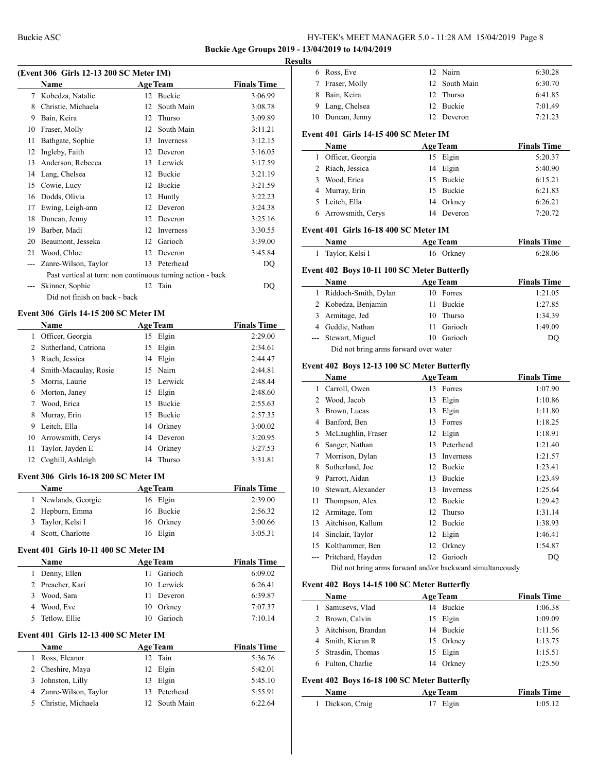## **Buckie Age Groups 2019 - 13/04/2019 to 14/04/2019**

# **Results**

|    | <b>Name</b>                                                 |    | <b>Age Team</b>  | <b>Finals Time</b> |
|----|-------------------------------------------------------------|----|------------------|--------------------|
|    | 7 Kobedza, Natalie                                          |    | 12 Buckie        | 3:06.99            |
| 8  | Christie, Michaela                                          | 12 | South Main       | 3:08.78            |
| 9  | Bain, Keira                                                 | 12 | <b>Thurso</b>    | 3:09.89            |
| 10 | Fraser, Molly                                               | 12 | South Main       | 3:11.21            |
| 11 | Bathgate, Sophie                                            | 13 | <b>Inverness</b> | 3:12.15            |
| 12 | Ingleby, Faith                                              | 12 | Deveron          | 3:16.05            |
| 13 | Anderson, Rebecca                                           | 13 | Lerwick          | 3:17.59            |
| 14 | Lang, Chelsea                                               | 12 | <b>Buckie</b>    | 3:21.19            |
| 15 | Cowie, Lucy                                                 | 12 | <b>Buckie</b>    | 3:21.59            |
| 16 | Dodds, Olivia                                               | 12 | Huntly           | 3:22.23            |
| 17 | Ewing, Leigh-ann                                            | 12 | Deveron          | 3:24.38            |
| 18 | Duncan, Jenny                                               | 12 | Deveron          | 3:25.16            |
| 19 | Barber, Madi                                                | 12 | Inverness        | 3:30.55            |
| 20 | Beaumont, Jesseka                                           | 12 | Garioch          | 3:39.00            |
| 21 | Wood, Chloe                                                 | 12 | Deveron          | 3:45.84            |
|    | Zanre-Wilson, Taylor                                        | 13 | Peterhead        | DQ                 |
|    | Past vertical at turn: non continuous turning action - back |    |                  |                    |
|    | Skinner, Sophie                                             |    | 12 Tain          | DO                 |
|    | Did not finish on back - back                               |    |                  |                    |

#### **Event 306 Girls 14-15 200 SC Meter IM**

|                       | Name                  |    | <b>Age Team</b> | <b>Finals Time</b> |
|-----------------------|-----------------------|----|-----------------|--------------------|
| 1                     | Officer, Georgia      |    | 15 Elgin        | 2:29.00            |
| $\mathbf{2}^{\prime}$ | Sutherland, Catriona  | 15 | Elgin           | 2:34.61            |
| 3                     | Riach, Jessica        |    | 14 Elgin        | 2:44.47            |
| 4                     | Smith-Macaulay, Rosie |    | 15 Nairn        | 2:44.81            |
| 5.                    | Morris, Laurie        | 15 | Lerwick         | 2:48.44            |
| 6                     | Morton, Janey         |    | 15 Elgin        | 2:48.60            |
|                       | Wood, Erica           | 15 | Buckie          | 2:55.63            |
| 8                     | Murray, Erin          | 15 | <b>Buckie</b>   | 2:57.35            |
| 9                     | Leitch, Ella          | 14 | Orkney          | 3:00.02            |
| 10                    | Arrowsmith, Cerys     | 14 | Deveron         | 3:20.95            |
| 11                    | Taylor, Jayden E      |    | 14 Orkney       | 3:27.53            |
| 12                    | Coghill, Ashleigh     | 14 | Thurso          | 3:31.81            |
|                       |                       |    |                 |                    |

# **Event 306 Girls 16-18 200 SC Meter IM**

| <b>Name</b>         | <b>Age Team</b> | <b>Finals Time</b> |
|---------------------|-----------------|--------------------|
| 1 Newlands, Georgie | 16 Elgin        | 2:39.00            |
| 2 Hepburn, Emma     | 16 Buckie       | 2:56.32            |
| 3 Taylor, Kelsi I   | 16 Orkney       | 3:00.66            |
| 4 Scott, Charlotte  | 16 Elgin        | 3:05.31            |

#### **Event 401 Girls 10-11 400 SC Meter IM**

 $\overline{a}$ 

| <b>Name</b>         | Age Team      | <b>Finals Time</b> |
|---------------------|---------------|--------------------|
| Denny, Ellen        | Garioch<br>11 | 6:09.02            |
| 2 Preacher, Kari    | 10 Lerwick    | 6:26.41            |
| Wood, Sara          | 11 Deveron    | 6:39.87            |
| Wood, Eve           | 10 Orkney     | 7:07.37            |
| Tetlow, Ellie<br>5. | Garioch       | 7:10.14            |

#### **Event 401 Girls 12-13 400 SC Meter IM**

|    | <b>Name</b>            | <b>Age Team</b> | <b>Finals Time</b> |
|----|------------------------|-----------------|--------------------|
| 1. | Ross, Eleanor          | 12 Tain         | 5:36.76            |
|    | 2 Cheshire, Maya       | 12 Elgin        | 5:42.01            |
|    | 3 Johnston, Lilly      | 13 Elgin        | 5:45.10            |
|    | 4 Zanre-Wilson, Taylor | 13 Peterhead    | 5:55.91            |
|    | 5 Christie, Michaela   | 12 South Main   | 6:22.64            |

| 6            | Ross, Eve                                                                                                                                                                                                                     | 12 | Nairn           | 6:30.28                       |
|--------------|-------------------------------------------------------------------------------------------------------------------------------------------------------------------------------------------------------------------------------|----|-----------------|-------------------------------|
| 7            | Fraser, Molly                                                                                                                                                                                                                 | 12 | South Main      | 6:30.70                       |
| 8            | Bain, Keira                                                                                                                                                                                                                   | 12 | Thurso          | 6:41.85                       |
|              | 9 Lang, Chelsea                                                                                                                                                                                                               |    | 12 Buckie       | 7:01.49                       |
|              | 10 Duncan, Jenny                                                                                                                                                                                                              |    | 12 Deveron      | 7:21.23                       |
|              | Event 401 Girls 14-15 400 SC Meter IM                                                                                                                                                                                         |    |                 |                               |
|              | Name                                                                                                                                                                                                                          |    | <b>Age Team</b> | <b>Finals Time</b>            |
|              | 1 Officer, Georgia                                                                                                                                                                                                            |    | 15 Elgin        | 5:20.37                       |
|              | 2 Riach, Jessica                                                                                                                                                                                                              |    | 14 Elgin        | 5:40.90                       |
|              | 3 Wood, Erica                                                                                                                                                                                                                 |    | 15 Buckie       | 6:15.21                       |
|              | 4 Murray, Erin                                                                                                                                                                                                                |    | 15 Buckie       | 6:21.83                       |
|              | 5 Leitch, Ella                                                                                                                                                                                                                |    | 14 Orkney       | 6:26.21                       |
|              | 6 Arrowsmith, Cerys                                                                                                                                                                                                           |    | 14 Deveron      | 7:20.72                       |
|              | Event 401 Girls 16-18 400 SC Meter IM                                                                                                                                                                                         |    |                 |                               |
|              | Name                                                                                                                                                                                                                          |    | <b>Age Team</b> | <b>Finals Time</b>            |
| $\mathbf{1}$ | Taylor, Kelsi I                                                                                                                                                                                                               |    | 16 Orkney       | 6:28.06                       |
|              | Event 402 Boys 10-11 100 SC Meter Butterfly                                                                                                                                                                                   |    |                 |                               |
|              | Name                                                                                                                                                                                                                          |    | <b>Age Team</b> | <b>Finals Time</b>            |
|              | 1 Riddoch-Smith, Dylan                                                                                                                                                                                                        |    | 10 Forres       | 1:21.05                       |
|              | 2 Kobedza, Benjamin                                                                                                                                                                                                           | 11 | Buckie          | 1:27.85                       |
|              | 3 Armitage, Jed                                                                                                                                                                                                               |    | 10 Thurso       | 1:34.39                       |
|              | 4 Geddie, Nathan                                                                                                                                                                                                              | 11 | Garioch         | 1:49.09                       |
|              | --- Stewart, Miguel                                                                                                                                                                                                           |    | 10 Garioch      | DO                            |
|              | Did not bring arms forward over water                                                                                                                                                                                         |    |                 |                               |
|              | Event 402 Boys 12-13 100 SC Meter Butterfly                                                                                                                                                                                   |    |                 |                               |
|              | Name                                                                                                                                                                                                                          |    | <b>Age Team</b> | <b>Finals Time</b>            |
| 1            | Carroll, Owen                                                                                                                                                                                                                 |    | 13 Forres       | 1:07.90                       |
|              | 2 Wood, Jacob                                                                                                                                                                                                                 |    | 13 Elgin        | 1:10.86                       |
|              | 3 Brown, Lucas                                                                                                                                                                                                                |    | 13 Elgin        | 1:11.80                       |
|              | 4 Banford, Ben                                                                                                                                                                                                                |    | 13 Forres       | 1:18.25                       |
|              | 5 McLaughlin, Fraser                                                                                                                                                                                                          |    | 12 Elgin        | 1:18.91                       |
|              | 6 Sanger, Nathan                                                                                                                                                                                                              |    | 13 Peterhead    | 1:21.40                       |
|              | 7 Morrison, Dylan                                                                                                                                                                                                             |    | 13 Inverness    | 1:21.57                       |
|              | 8 Sutherland, Joe                                                                                                                                                                                                             |    | 12 Buckie       | 1:23.41                       |
|              | 9 Parrott, Aidan                                                                                                                                                                                                              |    | 13 Buckie       | 1:23.49                       |
|              | 10 Stewart, Alexander                                                                                                                                                                                                         |    | 13 Inverness    | 1:25.64                       |
| 11           | Thompson, Alex                                                                                                                                                                                                                |    | 12 Buckie       | 1:29.42                       |
|              | 12 Armitage, Tom                                                                                                                                                                                                              |    | 12 Thurso       | 1:31.14                       |
| 13           | Aitchison, Kallum                                                                                                                                                                                                             |    | 12 Buckie       | 1:38.93                       |
|              | 14 Sinclair, Taylor                                                                                                                                                                                                           |    | 12 Elgin        | 1:46.41                       |
|              | 15 Kolthammer, Ben                                                                                                                                                                                                            |    | 12 Orkney       | 1:54.87                       |
|              | --- Pritchard, Hayden                                                                                                                                                                                                         |    | 12 Garioch      | DQ                            |
|              | Did not bring arms forward and/or backward simultaneously                                                                                                                                                                     |    |                 |                               |
|              | Event 402 Boys 14-15 100 SC Meter Butterfly<br>Name                                                                                                                                                                           |    | <b>Age Team</b> |                               |
|              | 1 Samusevs, Vlad                                                                                                                                                                                                              |    | 14 Buckie       | <b>Finals Time</b><br>1:06.38 |
|              | 2 Brown, Calvin                                                                                                                                                                                                               |    | 15 Elgin        | 1:09.09                       |
|              | 3 Aitchison, Brandan                                                                                                                                                                                                          |    | 14 Buckie       | 1:11.56                       |
|              | 4 Smith, Kieran R                                                                                                                                                                                                             |    | 15 Orkney       | 1:13.75                       |
|              | 5 Strasdin, Thomas                                                                                                                                                                                                            |    | 15 Elgin        | 1:15.51                       |
|              | 6 Fulton, Charlie                                                                                                                                                                                                             |    | 14 Orkney       | 1:25.50                       |
|              |                                                                                                                                                                                                                               |    |                 |                               |
|              | Event 402 Boys 16-18 100 SC Meter Butterfly                                                                                                                                                                                   |    |                 |                               |
|              | Name and the same state of the state of the state of the state of the state of the state of the state of the state of the state of the state of the state of the state of the state of the state of the state of the state of |    | <b>Age Team</b> | <b>Finals Time</b>            |

Dickson, Craig 17 Elgin 1:05.12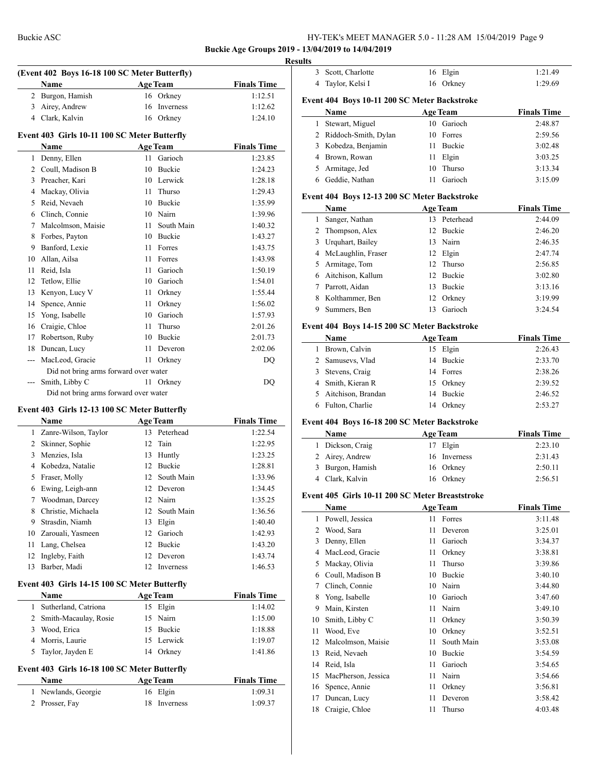## **Buckie Age Groups 2019 - 13/04/2019 to 14/04/2019**

| (Event 402 Boys 16-18 100 SC Meter Butterfly) |                                       |                    |                 |                    |  |  |  |  |
|-----------------------------------------------|---------------------------------------|--------------------|-----------------|--------------------|--|--|--|--|
|                                               | Name                                  |                    | <b>Age Team</b> | <b>Finals Time</b> |  |  |  |  |
| 2                                             | Burgon, Hamish                        |                    | 16 Orkney       | 1:12.51            |  |  |  |  |
| 3                                             | Airey, Andrew                         | 16                 | Inverness       | 1:12.62            |  |  |  |  |
| 4                                             | Clark, Kalvin                         |                    | 16 Orkney       | 1:24.10            |  |  |  |  |
| Event 403 Girls 10-11 100 SC Meter Butterfly  |                                       |                    |                 |                    |  |  |  |  |
|                                               | <b>Name</b>                           | <b>Finals Time</b> |                 |                    |  |  |  |  |
| 1                                             | Denny, Ellen                          | 11                 | Garioch         | 1:23.85            |  |  |  |  |
| $\overline{c}$                                | Coull, Madison B                      | 10                 | <b>Buckie</b>   | 1:24.23            |  |  |  |  |
| 3                                             | Preacher, Kari                        | 10                 | Lerwick         | 1:28.18            |  |  |  |  |
| 4                                             | Mackay, Olivia                        | 11                 | Thurso          | 1:29.43            |  |  |  |  |
| 5                                             | Reid, Nevaeh                          | 10                 | <b>Buckie</b>   | 1:35.99            |  |  |  |  |
| 6                                             | Clinch, Connie                        | 10                 | Nairn           | 1:39.96            |  |  |  |  |
| 7                                             | Malcolmson, Maisie                    | 11                 | South Main      | 1:40.32            |  |  |  |  |
| 8                                             | Forbes, Payton                        | 10                 | Buckie          | 1:43.27            |  |  |  |  |
| 9                                             | Banford, Lexie                        | 11                 | Forres          | 1:43.75            |  |  |  |  |
| 10                                            | Allan, Ailsa                          | 11                 | Forres          | 1:43.98            |  |  |  |  |
| 11                                            | Reid, Isla                            | 11                 | Garioch         | 1:50.19            |  |  |  |  |
| 12                                            | Tetlow, Ellie                         | 10                 | Garioch         | 1:54.01            |  |  |  |  |
| 13                                            | Kenyon, Lucy V                        | 11                 | Orkney          | 1:55.44            |  |  |  |  |
| 14                                            | Spence, Annie                         | 11                 | Orkney          | 1:56.02            |  |  |  |  |
| 15                                            | Yong, Isabelle                        | 10                 | Garioch         | 1:57.93            |  |  |  |  |
| 16                                            | Craigie, Chloe                        | 11                 | Thurso          | 2:01.26            |  |  |  |  |
| 17                                            | Robertson, Ruby                       | 10                 | Buckie          | 2:01.73            |  |  |  |  |
| 18                                            | Duncan, Lucy                          | 11                 | Deveron         | 2:02.06            |  |  |  |  |
| ---                                           | MacLeod, Gracie                       | 11                 | Orkney          | DQ                 |  |  |  |  |
|                                               | Did not bring arms forward over water |                    |                 |                    |  |  |  |  |
| ---                                           | Smith, Libby C                        |                    | 11 Orkney       | DQ                 |  |  |  |  |
|                                               | Did not bring arms forward over water |                    |                 |                    |  |  |  |  |

# **Event 403 Girls 12-13 100 SC Meter Butterfly**

|    | <b>Name</b>          |    | <b>Age Team</b> | <b>Finals Time</b> |
|----|----------------------|----|-----------------|--------------------|
| 1  | Zanre-Wilson, Taylor |    | 13 Peterhead    | 1:22.54            |
| 2  | Skinner, Sophie      |    | 12 Tain         | 1:22.95            |
| 3  | Menzies, Isla        | 13 | Huntly          | 1:23.25            |
| 4  | Kobedza, Natalie     | 12 | <b>Buckie</b>   | 1:28.81            |
| 5  | Fraser, Molly        |    | 12 South Main   | 1:33.96            |
| 6  | Ewing, Leigh-ann     |    | 12 Deveron      | 1:34.45            |
| 7  | Woodman, Darcey      |    | 12 Nairn        | 1:35.25            |
| 8  | Christie, Michaela   |    | 12 South Main   | 1:36.56            |
| 9  | Strasdin, Niamh      | 13 | Elgin           | 1:40.40            |
| 10 | Zarouali, Yasmeen    | 12 | Garioch         | 1:42.93            |
| 11 | Lang, Chelsea        | 12 | <b>Buckie</b>   | 1:43.20            |
| 12 | Ingleby, Faith       | 12 | Deveron         | 1:43.74            |
| 13 | Barber, Madi         | 12 | Inverness       | 1:46.53            |

# **Event 403 Girls 14-15 100 SC Meter Butterfly**

|   | <b>Name</b>             | <b>Age Team</b> | <b>Finals Time</b> |
|---|-------------------------|-----------------|--------------------|
|   | 1 Sutherland, Catriona  | 15 Elgin        | 1:14.02            |
|   | 2 Smith-Macaulay, Rosie | 15 Nairn        | 1:15.00            |
| 3 | Wood, Erica             | 15 Buckie       | 1:18.88            |
|   | 4 Morris, Laurie        | 15 Lerwick      | 1:19.07            |
|   | 5 Taylor, Jayden E      | 14 Orkney       | 1:41.86            |

## **Event 403 Girls 16-18 100 SC Meter Butterfly**

| Name                | <b>Age Team</b> |         |
|---------------------|-----------------|---------|
| 1 Newlands, Georgie | 16 Elgin        | 1:09.31 |
| 2 Prosser, Fay      | 18 Inverness    | 1:09.37 |

|    | 3 Scott, Charlotte                                      |      | 16 Elgin                    | 1:21.49                                                                                                                                                                                                                                                                                    |
|----|---------------------------------------------------------|------|-----------------------------|--------------------------------------------------------------------------------------------------------------------------------------------------------------------------------------------------------------------------------------------------------------------------------------------|
|    | 4 Taylor, Kelsi I                                       |      | 16 Orkney                   | 1:29.69                                                                                                                                                                                                                                                                                    |
|    |                                                         |      |                             |                                                                                                                                                                                                                                                                                            |
|    | Event 404 Boys 10-11 200 SC Meter Backstroke<br>Name    |      | <b>Age Team</b>             | <b>Finals Time</b>                                                                                                                                                                                                                                                                         |
|    | 1 Stewart, Miguel                                       |      | 10 Garioch                  | 2:48.87                                                                                                                                                                                                                                                                                    |
|    | 2 Riddoch-Smith, Dylan                                  |      | 10 Forres                   | 2:59.56                                                                                                                                                                                                                                                                                    |
|    | 3 Kobedza, Benjamin                                     |      | 11 Buckie                   | 3:02.48                                                                                                                                                                                                                                                                                    |
|    | 4 Brown, Rowan                                          |      | 11 Elgin                    | 3:03.25                                                                                                                                                                                                                                                                                    |
|    | 5 Armitage, Jed                                         |      | 10 Thurso                   | 3:13.34                                                                                                                                                                                                                                                                                    |
|    | 6 Geddie, Nathan                                        |      | 11 Garioch                  | 3:15.09                                                                                                                                                                                                                                                                                    |
|    | Event 404 Boys 12-13 200 SC Meter Backstroke            |      |                             |                                                                                                                                                                                                                                                                                            |
|    | Name                                                    |      | <b>Age Team</b>             | <b>Finals Time</b>                                                                                                                                                                                                                                                                         |
|    | 1 Sanger, Nathan                                        |      | 13 Peterhead                | 2:44.09                                                                                                                                                                                                                                                                                    |
|    | 2 Thompson, Alex                                        |      | 12 Buckie                   | 2:46.20                                                                                                                                                                                                                                                                                    |
|    | 3 Urquhart, Bailey                                      |      | 13 Nairn                    | 2:46.35                                                                                                                                                                                                                                                                                    |
|    | 4 McLaughlin, Fraser                                    |      | 12 Elgin                    | 2:47.74                                                                                                                                                                                                                                                                                    |
|    | 5 Armitage, Tom                                         |      | 12 Thurso                   | 2:56.85                                                                                                                                                                                                                                                                                    |
|    | 6 Aitchison, Kallum                                     |      | 12 Buckie                   | 3:02.80                                                                                                                                                                                                                                                                                    |
|    | 7 Parrott, Aidan                                        |      | 13 Buckie                   | 3:13.16                                                                                                                                                                                                                                                                                    |
|    | 8 Kolthammer, Ben                                       |      | 12 Orkney                   | 3:19.99                                                                                                                                                                                                                                                                                    |
|    | 9 Summers, Ben                                          |      | 13 Garioch                  | 3:24.54                                                                                                                                                                                                                                                                                    |
|    |                                                         |      |                             |                                                                                                                                                                                                                                                                                            |
|    | Event 404 Boys 14-15 200 SC Meter Backstroke<br>Name    |      | <b>Age Team</b>             | <b>Finals Time</b>                                                                                                                                                                                                                                                                         |
|    | 1 Brown, Calvin                                         |      | 15 Elgin                    | 2:26.43                                                                                                                                                                                                                                                                                    |
|    | 2 Samusevs, Vlad                                        |      | 14 Buckie                   | 2:33.70                                                                                                                                                                                                                                                                                    |
|    | 3 Stevens, Craig                                        |      | 14 Forres                   | 2:38.26                                                                                                                                                                                                                                                                                    |
|    | 4 Smith, Kieran R                                       |      |                             |                                                                                                                                                                                                                                                                                            |
|    |                                                         |      |                             |                                                                                                                                                                                                                                                                                            |
|    |                                                         |      | 15 Orkney                   |                                                                                                                                                                                                                                                                                            |
|    | 5 Aitchison, Brandan                                    |      | 14 Buckie                   |                                                                                                                                                                                                                                                                                            |
|    | 6 Fulton, Charlie                                       |      | 14 Orkney                   |                                                                                                                                                                                                                                                                                            |
|    | Event 404 Boys 16-18 200 SC Meter Backstroke<br>Name    |      |                             |                                                                                                                                                                                                                                                                                            |
|    |                                                         |      | <b>Age Team</b><br>17 Elgin |                                                                                                                                                                                                                                                                                            |
|    | 1 Dickson, Craig                                        |      |                             |                                                                                                                                                                                                                                                                                            |
|    | 2 Airey, Andrew                                         |      | 16 Inverness                |                                                                                                                                                                                                                                                                                            |
|    | 3 Burgon, Hamish                                        |      | 16 Orkney                   |                                                                                                                                                                                                                                                                                            |
|    | 4 Clark, Kalvin                                         |      | 16 Orkney                   |                                                                                                                                                                                                                                                                                            |
|    | Event 405 Girls 10-11 200 SC Meter Breaststroke<br>Name |      | <b>Age Team</b>             |                                                                                                                                                                                                                                                                                            |
|    | 1 Powell, Jessica                                       |      | 11 Forres                   |                                                                                                                                                                                                                                                                                            |
|    | 2 Wood, Sara                                            | 11   | Deveron                     |                                                                                                                                                                                                                                                                                            |
|    | 3 Denny, Ellen                                          |      | 11 Garioch                  |                                                                                                                                                                                                                                                                                            |
|    | 4 MacLeod, Gracie                                       |      |                             |                                                                                                                                                                                                                                                                                            |
|    |                                                         |      | 11 Orkney<br>Thurso         |                                                                                                                                                                                                                                                                                            |
|    | 5 Mackay, Olivia                                        | 11 - |                             |                                                                                                                                                                                                                                                                                            |
|    | 6 Coull, Madison B                                      |      | 10 Buckie                   |                                                                                                                                                                                                                                                                                            |
| 7  | Clinch, Connie                                          |      | 10 Nairn                    |                                                                                                                                                                                                                                                                                            |
| 8  | Yong, Isabelle                                          |      | 10 Garioch                  |                                                                                                                                                                                                                                                                                            |
| 9  | Main, Kirsten                                           | 11 - | Nairn                       |                                                                                                                                                                                                                                                                                            |
| 10 | Smith, Libby C                                          | 11 - | Orkney                      |                                                                                                                                                                                                                                                                                            |
| 11 | Wood, Eve                                               |      | 10 Orkney                   |                                                                                                                                                                                                                                                                                            |
| 12 | Malcolmson, Maisie                                      | 11   | South Main                  |                                                                                                                                                                                                                                                                                            |
| 13 | Reid, Nevaeh                                            |      | 10 Buckie                   |                                                                                                                                                                                                                                                                                            |
| 14 | Reid, Isla                                              | 11 - | Garioch                     |                                                                                                                                                                                                                                                                                            |
| 15 | MacPherson, Jessica                                     |      | 11 Nairn                    | 2:39.52<br>2:46.52<br>2:53.27<br><b>Finals Time</b><br>2:23.10<br>2:31.43<br>2:50.11<br>2:56.51<br><b>Finals Time</b><br>3:11.48<br>3:25.01<br>3:34.37<br>3:38.81<br>3:39.86<br>3:40.10<br>3:44.80<br>3:47.60<br>3:49.10<br>3:50.39<br>3:52.51<br>3:53.08<br>3:54.59<br>3:54.65<br>3:54.66 |
| 16 | Spence, Annie                                           |      | 11 Orkney                   | 3:56.81                                                                                                                                                                                                                                                                                    |
| 17 | Duncan, Lucy                                            | 11   | Deveron                     | 3:58.42                                                                                                                                                                                                                                                                                    |